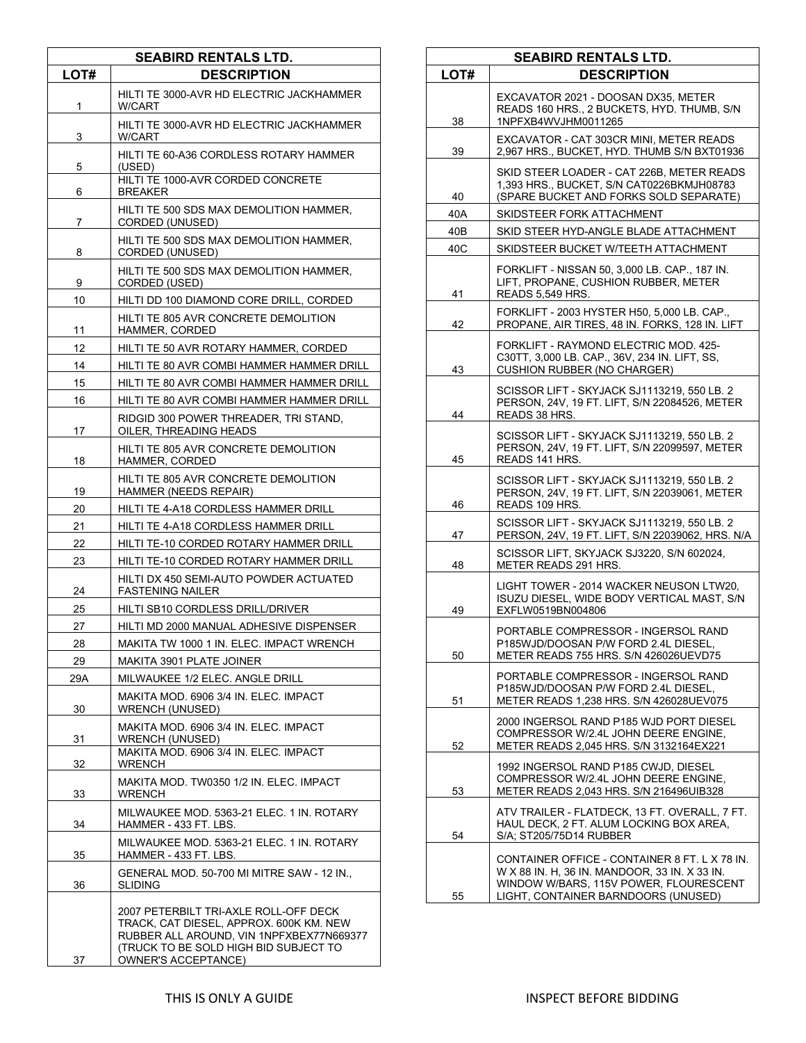| <b>SEABIRD RENTALS LTD.</b> |                                                                                                                                                                                                     |
|-----------------------------|-----------------------------------------------------------------------------------------------------------------------------------------------------------------------------------------------------|
| LOT#                        | <b>DESCRIPTION</b>                                                                                                                                                                                  |
| 1                           | HILTI TE 3000-AVR HD ELECTRIC JACKHAMMER<br>W/CART                                                                                                                                                  |
| 3                           | HILTI TE 3000-AVR HD ELECTRIC JACKHAMMER<br>W/CART                                                                                                                                                  |
| 5                           | HILTI TE 60-A36 CORDLESS ROTARY HAMMER<br>(USED)                                                                                                                                                    |
| 6                           | HILTI TE 1000-AVR CORDED CONCRETE<br><b>BREAKER</b>                                                                                                                                                 |
| 7                           | HILTI TE 500 SDS MAX DEMOLITION HAMMER,<br>CORDED (UNUSED)                                                                                                                                          |
| 8                           | HILTI TE 500 SDS MAX DEMOLITION HAMMER,<br>CORDED (UNUSED)                                                                                                                                          |
| 9                           | HILTI TE 500 SDS MAX DEMOLITION HAMMER,<br>CORDED (USED)                                                                                                                                            |
| 10                          | HILTI DD 100 DIAMOND CORE DRILL, CORDED                                                                                                                                                             |
| 11                          | HILTI TE 805 AVR CONCRETE DEMOLITION<br>HAMMER, CORDED                                                                                                                                              |
| 12                          | HILTI TE 50 AVR ROTARY HAMMER, CORDED                                                                                                                                                               |
| 14                          | HILTI TE 80 AVR COMBI HAMMER HAMMER DRILL                                                                                                                                                           |
| 15                          | HILTI TE 80 AVR COMBI HAMMER HAMMER DRILL                                                                                                                                                           |
| 16                          | HILTI TE 80 AVR COMBI HAMMER HAMMER DRILL                                                                                                                                                           |
| 17                          | RIDGID 300 POWER THREADER, TRI STAND,<br>OILER, THREADING HEADS                                                                                                                                     |
| 18                          | HILTI TE 805 AVR CONCRETE DEMOLITION<br>HAMMER, CORDED                                                                                                                                              |
| 19                          | HILTI TE 805 AVR CONCRETE DEMOLITION<br>HAMMER (NEEDS REPAIR)                                                                                                                                       |
| 20                          | HILTI TE 4-A18 CORDLESS HAMMER DRILL                                                                                                                                                                |
| 21                          | HILTI TE 4-A18 CORDLESS HAMMER DRILL                                                                                                                                                                |
| 22                          | HILTI TE-10 CORDED ROTARY HAMMER DRILL                                                                                                                                                              |
| 23                          | HILTI TE-10 CORDED ROTARY HAMMER DRILL                                                                                                                                                              |
| 24                          | HILTI DX 450 SEMI-AUTO POWDER ACTUATED<br><b>FASTENING NAILER</b>                                                                                                                                   |
| 25                          | HILTI SB10 CORDLESS DRILL/DRIVER                                                                                                                                                                    |
| 27                          | HILTI MD 2000 MANUAL ADHESIVE DISPENSER                                                                                                                                                             |
| 28                          | MAKITA TW 1000 1 IN. ELEC. IMPACT WRENCH                                                                                                                                                            |
| 29                          | <b>MAKITA 3901 PLATE JOINER</b>                                                                                                                                                                     |
| 29A                         | MILWAUKEE 1/2 ELEC. ANGLE DRILL                                                                                                                                                                     |
| 30                          | MAKITA MOD. 6906 3/4 IN. ELEC. IMPACT<br><b>WRENCH (UNUSED)</b>                                                                                                                                     |
| 31                          | MAKITA MOD. 6906 3/4 IN. ELEC. IMPACT<br><b>WRENCH (UNUSED)</b><br>MAKITA MOD. 6906 3/4 IN. ELEC. IMPACT                                                                                            |
| 32                          | <b>WRENCH</b>                                                                                                                                                                                       |
| 33                          | MAKITA MOD. TW0350 1/2 IN. ELEC. IMPACT<br>WRENCH                                                                                                                                                   |
| 34                          | MILWAUKEE MOD. 5363-21 ELEC. 1 IN. ROTARY<br>HAMMER - 433 FT. LBS.                                                                                                                                  |
| 35                          | MILWAUKEE MOD. 5363-21 ELEC. 1 IN. ROTARY<br>HAMMER - 433 FT. LBS.                                                                                                                                  |
| 36                          | GENERAL MOD. 50-700 MI MITRE SAW - 12 IN.,<br>SLIDING                                                                                                                                               |
| 37                          | 2007 PETERBILT TRI-AXLE ROLL-OFF DECK<br>TRACK, CAT DIESEL, APPROX. 600K KM. NEW<br>RUBBER ALL AROUND, VIN 1NPFXBEX77N669377<br>(TRUCK TO BE SOLD HIGH BID SUBJECT TO<br><b>OWNER'S ACCEPTANCE)</b> |

| <b>SEABIRD RENTALS LTD.</b> |                                                                                                                                                                                 |
|-----------------------------|---------------------------------------------------------------------------------------------------------------------------------------------------------------------------------|
| LOT#                        | <b>DESCRIPTION</b>                                                                                                                                                              |
| 38                          | EXCAVATOR 2021 - DOOSAN DX35, METER<br>READS 160 HRS., 2 BUCKETS, HYD. THUMB, S/N<br>1NPFXB4WVJHM0011265                                                                        |
| 39                          | EXCAVATOR - CAT 303CR MINI. METER READS<br>2,967 HRS., BUCKET, HYD. THUMB S/N BXT01936                                                                                          |
| 40                          | SKID STEER LOADER - CAT 226B, METER READS<br>1,393 HRS., BUCKET, S/N CAT0226BKMJH08783<br>(SPARE BUCKET AND FORKS SOLD SEPARATE)                                                |
| 40A                         | SKIDSTEER FORK ATTACHMENT                                                                                                                                                       |
| 40B                         | SKID STEER HYD-ANGLE BLADE ATTACHMENT                                                                                                                                           |
| 40C                         | SKIDSTEER BUCKET W/TEETH ATTACHMENT                                                                                                                                             |
| 41                          | FORKLIFT - NISSAN 50, 3,000 LB. CAP., 187 IN.<br>LIFT, PROPANE, CUSHION RUBBER, METER<br>READS 5,549 HRS.                                                                       |
| 42                          | FORKLIFT - 2003 HYSTER H50, 5,000 LB. CAP.,<br>PROPANE, AIR TIRES, 48 IN. FORKS, 128 IN. LIFT                                                                                   |
| 43                          | FORKLIFT - RAYMOND ELECTRIC MOD. 425-<br>C30TT, 3,000 LB. CAP., 36V, 234 IN. LIFT, SS,<br><b>CUSHION RUBBER (NO CHARGER)</b>                                                    |
| 44                          | SCISSOR LIFT - SKYJACK SJ1113219, 550 LB. 2<br>PERSON, 24V, 19 FT. LIFT, S/N 22084526, METER<br>READS 38 HRS.                                                                   |
| 45                          | SCISSOR LIFT - SKYJACK SJ1113219, 550 LB. 2<br>PERSON, 24V, 19 FT. LIFT, S/N 22099597, METER<br>READS 141 HRS.                                                                  |
| 46                          | SCISSOR LIFT - SKYJACK SJ1113219, 550 LB. 2<br>PERSON, 24V, 19 FT. LIFT, S/N 22039061, METER<br>READS 109 HRS.                                                                  |
| 47                          | SCISSOR LIFT - SKYJACK SJ1113219, 550 LB. 2<br>PERSON, 24V, 19 FT. LIFT, S/N 22039062, HRS. N/A                                                                                 |
| 48                          | SCISSOR LIFT, SKYJACK SJ3220, S/N 602024,<br>METER READS 291 HRS.                                                                                                               |
| 49                          | LIGHT TOWER - 2014 WACKER NEUSON LTW20.<br>ISUZU DIESEL, WIDE BODY VERTICAL MAST, S/N<br>EXFLW0519BN004806                                                                      |
| 50                          | PORTABLE COMPRESSOR - INGERSOL RAND<br>P185WJD/DOOSAN P/W FORD 2.4L DIESEL,<br>METER READS 755 HRS. S/N 426026UEVD75                                                            |
| 51                          | PORTABLE COMPRESSOR - INGERSOL RAND<br>P185WJD/DOOSAN P/W FORD 2.4L DIESEL,<br>METER READS 1,238 HRS. S/N 426028UEV075                                                          |
| 52                          | 2000 INGERSOL RAND P185 WJD PORT DIESEL<br>COMPRESSOR W/2.4L JOHN DEERE ENGINE,<br>METER READS 2,045 HRS. S/N 3132164EX221                                                      |
| 53                          | 1992 INGERSOL RAND P185 CWJD, DIESEL<br>COMPRESSOR W/2.4L JOHN DEERE ENGINE.<br>METER READS 2,043 HRS. S/N 216496UIB328                                                         |
| 54                          | ATV TRAILER - FLATDECK, 13 FT. OVERALL, 7 FT.<br>HAUL DECK, 2 FT. ALUM LOCKING BOX AREA,<br>S/A; ST205/75D14 RUBBER                                                             |
| 55                          | CONTAINER OFFICE - CONTAINER 8 FT. L X 78 IN.<br>W X 88 IN. H, 36 IN. MANDOOR, 33 IN. X 33 IN.<br>WINDOW W/BARS, 115V POWER, FLOURESCENT<br>LIGHT, CONTAINER BARNDOORS (UNUSED) |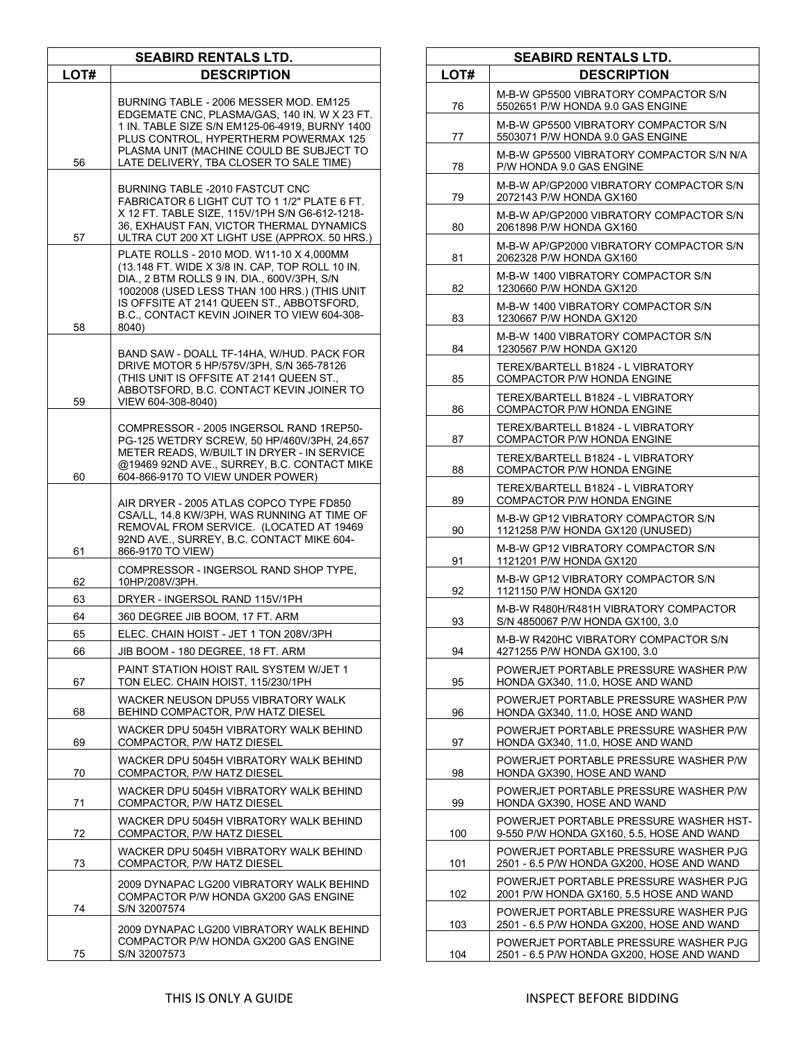| <b>SEABIRD RENTALS LTD.</b> |                                                                                                                                                                                                                                                                                                 |
|-----------------------------|-------------------------------------------------------------------------------------------------------------------------------------------------------------------------------------------------------------------------------------------------------------------------------------------------|
| LOT#                        | <b>DESCRIPTION</b>                                                                                                                                                                                                                                                                              |
| 56                          | BURNING TABLE - 2006 MESSER MOD. EM125<br>EDGEMATE CNC, PLASMA/GAS, 140 IN. W X 23 FT.<br>1 IN. TABLE SIZE S/N EM125-06-4919, BURNY 1400<br>PLUS CONTROL. HYPERTHERM POWERMAX 125<br>PLASMA UNIT (MACHINE COULD BE SUBJECT TO<br>LATE DELIVERY, TBA CLOSER TO SALE TIME)                        |
| 57                          | BURNING TABLE -2010 FASTCUT CNC<br>FABRICATOR 6 LIGHT CUT TO 1 1/2" PLATE 6 FT.<br>X 12 FT. TABLE SIZE, 115V/1PH S/N G6-612-1218-<br>36, EXHAUST FAN, VICTOR THERMAL DYNAMICS<br>ULTRA CUT 200 XT LIGHT USE (APPROX. 50 HRS.)                                                                   |
| 58                          | PLATE ROLLS - 2010 MOD. W11-10 X 4,000MM<br>(13.148 FT. WIDE X 3/8 IN. CAP, TOP ROLL 10 IN.<br>DIA., 2 BTM ROLLS 9 IN. DIA., 600V/3PH, S/N<br>1002008 (USED LESS THAN 100 HRS.) (THIS UNIT<br>IS OFFSITE AT 2141 QUEEN ST., ABBOTSFORD,<br>B.C., CONTACT KEVIN JOINER TO VIEW 604-308-<br>8040) |
| 59                          | BAND SAW - DOALL TF-14HA, W/HUD. PACK FOR<br>DRIVE MOTOR 5 HP/575V/3PH, S/N 365-78126<br>(THIS UNIT IS OFFSITE AT 2141 QUEEN ST.,<br>ABBOTSFORD, B.C. CONTACT KEVIN JOINER TO<br>VIEW 604-308-8040)                                                                                             |
| 60                          | COMPRESSOR - 2005 INGERSOL RAND 1REP50-<br>PG-125 WETDRY SCREW, 50 HP/460V/3PH, 24,657<br>METER READS, W/BUILT IN DRYER - IN SERVICE<br>@19469 92ND AVE., SURREY, B.C. CONTACT MIKE<br>604-866-9170 TO VIEW UNDER POWER)                                                                        |
| 61                          | AIR DRYER - 2005 ATLAS COPCO TYPE FD850<br>CSA/LL, 14.8 KW/3PH, WAS RUNNING AT TIME OF<br>REMOVAL FROM SERVICE. (LOCATED AT 19469<br>92ND AVE., SURREY, B.C. CONTACT MIKE 604-<br>866-9170 TO VIEW)                                                                                             |
| 62                          | COMPRESSOR - INGERSOL RAND SHOP TYPE,<br>10HP/208V/3PH.                                                                                                                                                                                                                                         |
| 63                          | DRYER - INGERSOL RAND 115V/1PH                                                                                                                                                                                                                                                                  |
| 64                          | 360 DEGREE JIB BOOM, 17 FT. ARM                                                                                                                                                                                                                                                                 |
| 65                          | ELEC. CHAIN HOIST - JET 1 TON 208V/3PH                                                                                                                                                                                                                                                          |
| 66                          | JIB BOOM - 180 DEGREE, 18 FT. ARM                                                                                                                                                                                                                                                               |
| 67                          | PAINT STATION HOIST RAIL SYSTEM W/JET 1<br>TON ELEC. CHAIN HOIST, 115/230/1PH                                                                                                                                                                                                                   |
| 68                          | WACKER NEUSON DPU55 VIBRATORY WALK<br>BEHIND COMPACTOR, P/W HATZ DIESEL                                                                                                                                                                                                                         |
| 69                          | WACKER DPU 5045H VIBRATORY WALK BEHIND<br>COMPACTOR, P/W HATZ DIESEL                                                                                                                                                                                                                            |
| 70                          | WACKER DPU 5045H VIBRATORY WALK BEHIND<br>COMPACTOR, P/W HATZ DIESEL                                                                                                                                                                                                                            |
| 71                          | WACKER DPU 5045H VIBRATORY WALK BEHIND<br>COMPACTOR, P/W HATZ DIESEL                                                                                                                                                                                                                            |
| 72                          | WACKER DPU 5045H VIBRATORY WALK BEHIND<br>COMPACTOR, P/W HATZ DIESEL                                                                                                                                                                                                                            |
| 73                          | WACKER DPU 5045H VIBRATORY WALK BEHIND<br>COMPACTOR, P/W HATZ DIESEL                                                                                                                                                                                                                            |
| 74                          | 2009 DYNAPAC LG200 VIBRATORY WALK BEHIND<br>COMPACTOR P/W HONDA GX200 GAS ENGINE<br>S/N 32007574                                                                                                                                                                                                |
| 75                          | 2009 DYNAPAC LG200 VIBRATORY WALK BEHIND<br>COMPACTOR P/W HONDA GX200 GAS ENGINE<br>S/N 32007573                                                                                                                                                                                                |
|                             |                                                                                                                                                                                                                                                                                                 |

| <b>SEABIRD RENTALS LTD.</b> |                                                                                     |
|-----------------------------|-------------------------------------------------------------------------------------|
| LOT#                        | <b>DESCRIPTION</b>                                                                  |
| 76                          | M-B-W GP5500 VIBRATORY COMPACTOR S/N<br>5502651 P/W HONDA 9.0 GAS ENGINE            |
| 77                          | M-B-W GP5500 VIBRATORY COMPACTOR S/N<br>5503071 P/W HONDA 9.0 GAS ENGINE            |
| 78                          | M-B-W GP5500 VIBRATORY COMPACTOR S/N N/A<br>P/W HONDA 9.0 GAS ENGINE                |
| 79                          | M-B-W AP/GP2000 VIBRATORY COMPACTOR S/N<br>2072143 P/W HONDA GX160                  |
| 80                          | M-B-W AP/GP2000 VIBRATORY COMPACTOR S/N<br>2061898 P/W HONDA GX160                  |
| 81                          | M-B-W AP/GP2000 VIBRATORY COMPACTOR S/N<br>2062328 P/W HONDA GX160                  |
| 82                          | M-B-W 1400 VIBRATORY COMPACTOR S/N<br>1230660 P/W HONDA GX120                       |
| 83                          | M-B-W 1400 VIBRATORY COMPACTOR S/N<br>1230667 P/W HONDA GX120                       |
| 84                          | M-B-W 1400 VIBRATORY COMPACTOR S/N<br>1230567 P/W HONDA GX120                       |
| 85                          | TEREX/BARTELL B1824 - L VIBRATORY<br><b>COMPACTOR P/W HONDA ENGINE</b>              |
| 86                          | TEREX/BARTELL B1824 - L VIBRATORY<br><b>COMPACTOR P/W HONDA ENGINE</b>              |
| 87                          | TEREX/BARTELL B1824 - L VIBRATORY<br>COMPACTOR P/W HONDA ENGINE                     |
| 88                          | TEREX/BARTELL B1824 - L VIBRATORY<br><b>COMPACTOR P/W HONDA ENGINE</b>              |
| 89                          | TEREX/BARTELL B1824 - L VIBRATORY<br><b>COMPACTOR P/W HONDA ENGINE</b>              |
| 90                          | M-B-W GP12 VIBRATORY COMPACTOR S/N<br>1121258 P/W HONDA GX120 (UNUSED)              |
| 91                          | M-B-W GP12 VIBRATORY COMPACTOR S/N<br>1121201 P/W HONDA GX120                       |
| 92                          | M-B-W GP12 VIBRATORY COMPACTOR S/N<br>1121150 P/W HONDA GX120                       |
| 93                          | M-B-W R480H/R481H VIBRATORY COMPACTOR<br>S/N 4850067 P/W HONDA GX100, 3.0           |
| 94                          | M-B-W R420HC VIBRATORY COMPACTOR S/N<br>4271255 P/W HONDA GX100, 3.0                |
| 95                          | POWERJET PORTABLE PRESSURE WASHER P/W<br>HONDA GX340, 11.0, HOSE AND WAND           |
| 96                          | POWERJET PORTABLE PRESSURE WASHER P/W<br>HONDA GX340, 11.0, HOSE AND WAND           |
| 97                          | POWERJET PORTABLE PRESSURE WASHER P/W<br>HONDA GX340, 11.0, HOSE AND WAND           |
| 98                          | POWERJET PORTABLE PRESSURE WASHER P/W<br>HONDA GX390, HOSE AND WAND                 |
| 99                          | POWERJET PORTABLE PRESSURE WASHER P/W<br>HONDA GX390, HOSE AND WAND                 |
| 100                         | POWERJET PORTABLE PRESSURE WASHER HST-<br>9-550 P/W HONDA GX160, 5.5, HOSE AND WAND |
| 101                         | POWERJET PORTABLE PRESSURE WASHER PJG<br>2501 - 6.5 P/W HONDA GX200, HOSE AND WAND  |
| 102                         | POWERJET PORTABLE PRESSURE WASHER PJG<br>2001 P/W HONDA GX160, 5.5 HOSE AND WAND    |
| 103                         | POWERJET PORTABLE PRESSURE WASHER PJG<br>2501 - 6.5 P/W HONDA GX200, HOSE AND WAND  |
| 104                         | POWERJET PORTABLE PRESSURE WASHER PJG<br>2501 - 6.5 P/W HONDA GX200, HOSE AND WAND  |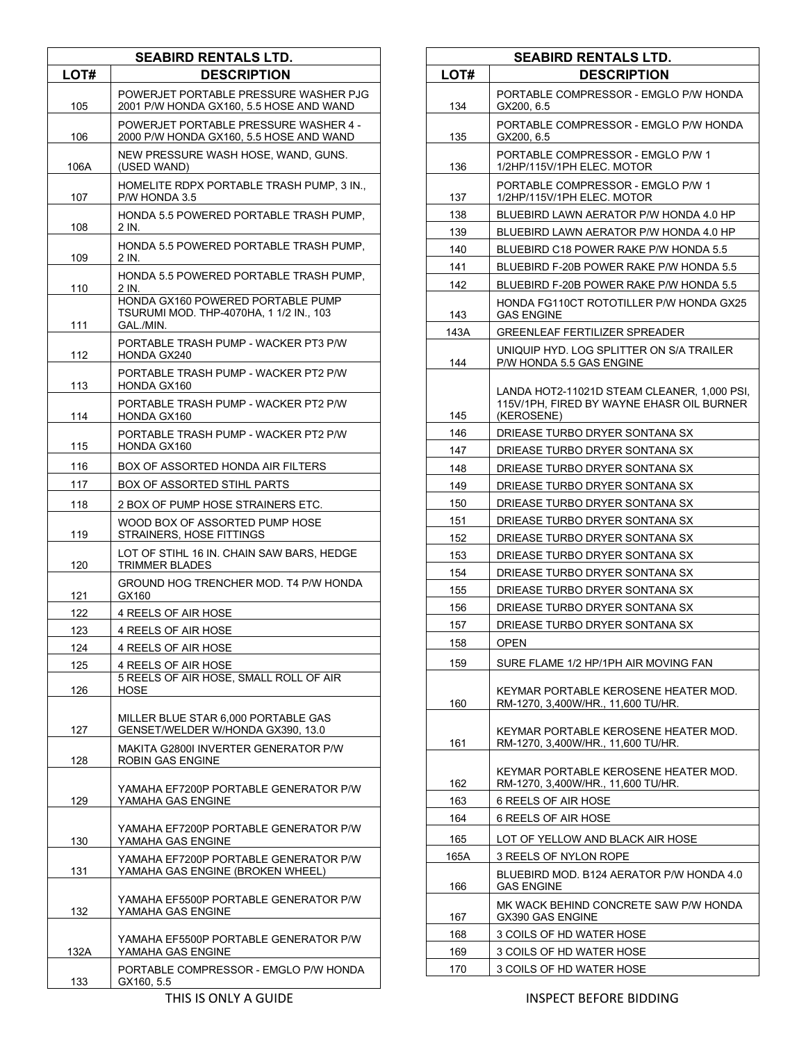| <b>SEABIRD RENTALS LTD.</b> |                                                                                           |
|-----------------------------|-------------------------------------------------------------------------------------------|
| LOT#                        | <b>DESCRIPTION</b>                                                                        |
| 105                         | POWERJET PORTABLE PRESSURE WASHER PJG<br>2001 P/W HONDA GX160, 5.5 HOSE AND WAND          |
| 106                         | POWERJET PORTABLE PRESSURE WASHER 4 -<br>2000 P/W HONDA GX160, 5.5 HOSE AND WAND          |
| 106A                        | NEW PRESSURE WASH HOSE, WAND, GUNS.<br>(USED WAND)                                        |
| 107                         | HOMELITE RDPX PORTABLE TRASH PUMP, 3 IN.,<br>P/W HONDA 3.5                                |
| 108                         | HONDA 5.5 POWERED PORTABLE TRASH PUMP,<br>2 IN.                                           |
| 109                         | HONDA 5.5 POWERED PORTABLE TRASH PUMP,<br>2 IN.                                           |
| 110                         | HONDA 5.5 POWERED PORTABLE TRASH PUMP,<br>2 IN.                                           |
| 111                         | HONDA GX160 POWERED PORTABLE PUMP<br>TSURUMI MOD. THP-4070HA, 1 1/2 IN., 103<br>GAL /MIN. |
| 112                         | PORTABLE TRASH PUMP - WACKER PT3 P/W<br><b>HONDA GX240</b>                                |
| 113                         | PORTABLE TRASH PUMP - WACKER PT2 P/W<br>HONDA GX160                                       |
| 114                         | PORTABLE TRASH PUMP - WACKER PT2 P/W<br>HONDA GX160                                       |
| 115                         | PORTABLE TRASH PUMP - WACKER PT2 P/W<br>HONDA GX160                                       |
| 116                         | BOX OF ASSORTED HONDA AIR FILTERS                                                         |
| 117                         | <b>BOX OF ASSORTED STIHL PARTS</b>                                                        |
| 118                         | 2 BOX OF PUMP HOSE STRAINERS ETC.                                                         |
| 119                         | WOOD BOX OF ASSORTED PUMP HOSE<br>STRAINERS, HOSE FITTINGS                                |
| 120                         | LOT OF STIHL 16 IN. CHAIN SAW BARS, HEDGE<br><b>TRIMMER BLADES</b>                        |
| 121                         | GROUND HOG TRENCHER MOD. T4 P/W HONDA<br>GX160                                            |
| 122                         | 4 REELS OF AIR HOSE                                                                       |
| 123                         | 4 REELS OF AIR HOSE                                                                       |
| 124                         | 4 REELS OF AIR HOSE                                                                       |
| 125                         | 4 REELS OF AIR HOSE                                                                       |
| 126                         | 5 REELS OF AIR HOSE, SMALL ROLL OF AIR<br>HOSE                                            |
| 127                         | MILLER BLUE STAR 6,000 PORTABLE GAS<br>GENSET/WELDER W/HONDA GX390, 13.0                  |
| 128                         | MAKITA G2800I INVERTER GENERATOR P/W<br>ROBIN GAS ENGINE                                  |
| 129                         | YAMAHA EF7200P PORTABLE GENERATOR P/W<br>YAMAHA GAS ENGINE                                |
| 130                         | YAMAHA EF7200P PORTABLE GENERATOR P/W<br>YAMAHA GAS ENGINE                                |
| 131                         | YAMAHA EF7200P PORTABLE GENERATOR P/W<br>YAMAHA GAS ENGINE (BROKEN WHEEL)                 |
| 132                         | YAMAHA EF5500P PORTABLE GENERATOR P/W<br>YAMAHA GAS ENGINE                                |
| 132A                        | YAMAHA EF5500P PORTABLE GENERATOR P/W<br>YAMAHA GAS ENGINE                                |
| 133                         | PORTABLE COMPRESSOR - EMGLO P/W HONDA<br>GX160, 5.5                                       |

| <b>SEABIRD RENTALS LTD.</b> |                                                                                                        |
|-----------------------------|--------------------------------------------------------------------------------------------------------|
| LOT#                        | <b>DESCRIPTION</b>                                                                                     |
| 134                         | PORTABLE COMPRESSOR - EMGLO P/W HONDA<br>GX200, 6.5                                                    |
| 135                         | PORTABLE COMPRESSOR - EMGLO P/W HONDA<br>GX200, 6.5                                                    |
| 136                         | PORTABLE COMPRESSOR - EMGLO P/W 1<br>1/2HP/115V/1PH ELEC. MOTOR                                        |
| 137                         | PORTABLE COMPRESSOR - EMGLO P/W 1<br>1/2HP/115V/1PH ELEC. MOTOR                                        |
| 138                         | BLUEBIRD LAWN AERATOR P/W HONDA 4.0 HP                                                                 |
| 139                         | BLUEBIRD LAWN AERATOR P/W HONDA 4.0 HP                                                                 |
| 140                         | BLUEBIRD C18 POWER RAKE P/W HONDA 5.5                                                                  |
| 141                         | BLUEBIRD F-20B POWER RAKE P/W HONDA 5.5                                                                |
| 142                         | BLUEBIRD F-20B POWER RAKE P/W HONDA 5.5                                                                |
| 143                         | HONDA FG110CT ROTOTILLER P/W HONDA GX25<br><b>GAS ENGINE</b>                                           |
| 143A                        | GREENLEAF FERTILIZER SPREADER                                                                          |
| 144                         | UNIQUIP HYD. LOG SPLITTER ON S/A TRAILER<br>P/W HONDA 5.5 GAS ENGINE                                   |
| 145                         | LANDA HOT2-11021D STEAM CLEANER, 1.000 PSI.<br>115V/1PH, FIRED BY WAYNE EHASR OIL BURNER<br>(KEROSENE) |
| 146                         | DRIEASE TURBO DRYER SONTANA SX                                                                         |
| 147                         | DRIEASE TURBO DRYER SONTANA SX                                                                         |
| 148                         | DRIEASE TURBO DRYER SONTANA SX                                                                         |
| 149                         | DRIEASE TURBO DRYER SONTANA SX                                                                         |
| 150                         | DRIEASE TURBO DRYER SONTANA SX                                                                         |
| 151                         | DRIEASE TURBO DRYER SONTANA SX                                                                         |
| 152                         | DRIEASE TURBO DRYER SONTANA SX                                                                         |
| 153                         | DRIEASE TURBO DRYER SONTANA SX                                                                         |
|                             |                                                                                                        |
| 154                         | DRIEASE TURBO DRYER SONTANA SX                                                                         |
| 155                         | DRIEASE TURBO DRYER SONTANA SX                                                                         |
| 156                         | DRIEASE TURBO DRYER SONTANA SX                                                                         |
| 157                         | DRIEASE TURBO DRYER SONTANA SX                                                                         |
| 158                         | OPEN                                                                                                   |
| 159                         | SURE FLAME 1/2 HP/1PH AIR MOVING FAN                                                                   |
| 160                         | KEYMAR PORTABLE KEROSENE HEATER MOD.<br>RM-1270, 3,400W/HR., 11,600 TU/HR.                             |
| 161                         | KEYMAR PORTABLE KEROSENE HEATER MOD.<br>RM-1270, 3,400W/HR., 11,600 TU/HR.                             |
| 162                         | KEYMAR PORTABLE KEROSENE HEATER MOD.<br>RM-1270, 3,400W/HR., 11,600 TU/HR.                             |
| 163                         | 6 REELS OF AIR HOSE                                                                                    |
| 164                         | 6 REELS OF AIR HOSE                                                                                    |
| 165                         | LOT OF YELLOW AND BLACK AIR HOSE                                                                       |
| 165A                        | 3 REELS OF NYLON ROPE                                                                                  |
| 166                         | BLUEBIRD MOD. B124 AERATOR P/W HONDA 4.0<br><b>GAS ENGINE</b>                                          |
| 167                         | MK WACK BEHIND CONCRETE SAW P/W HONDA<br>GX390 GAS ENGINE                                              |
| 168                         | 3 COILS OF HD WATER HOSE                                                                               |
| 169                         | 3 COILS OF HD WATER HOSE                                                                               |
| 170                         | 3 COILS OF HD WATER HOSE                                                                               |

 $\Gamma$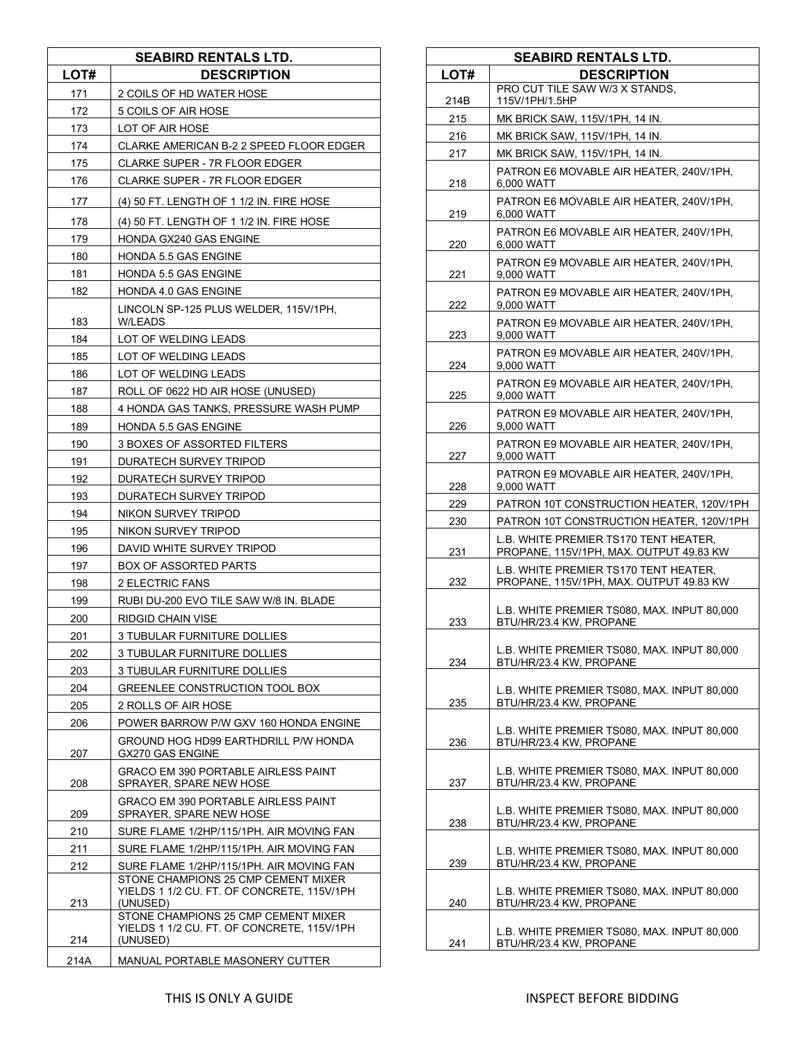| <b>SEABIRD RENTALS LTD.</b> |                                                                                                                                                                                    |
|-----------------------------|------------------------------------------------------------------------------------------------------------------------------------------------------------------------------------|
| LOT#                        | <b>DESCRIPTION</b>                                                                                                                                                                 |
| 171                         | 2 COILS OF HD WATER HOSE                                                                                                                                                           |
| 172                         | 5 COILS OF AIR HOSE                                                                                                                                                                |
| 173                         | LOT OF AIR HOSE                                                                                                                                                                    |
| 174                         | CLARKE AMERICAN B-2 2 SPEED FLOOR EDGER                                                                                                                                            |
| 175                         | CLARKE SUPER - 7R FLOOR EDGER                                                                                                                                                      |
| 176                         | CLARKE SUPER - 7R FLOOR EDGER                                                                                                                                                      |
| 177                         | (4) 50 FT. LENGTH OF 1 1/2 IN. FIRE HOSE                                                                                                                                           |
| 178                         | (4) 50 FT. LENGTH OF 1 1/2 IN. FIRE HOSE                                                                                                                                           |
| 179                         | HONDA GX240 GAS ENGINE                                                                                                                                                             |
| 180                         | HONDA 5.5 GAS ENGINE                                                                                                                                                               |
| 181                         | HONDA 5.5 GAS ENGINE                                                                                                                                                               |
| 182                         | HONDA 4.0 GAS ENGINE                                                                                                                                                               |
| 183                         | LINCOLN SP-125 PLUS WELDER, 115V/1PH,<br>W/LEADS                                                                                                                                   |
| 184                         | LOT OF WELDING LEADS                                                                                                                                                               |
| 185                         | LOT OF WELDING LEADS                                                                                                                                                               |
| 186                         | LOT OF WELDING LEADS                                                                                                                                                               |
| 187                         | ROLL OF 0622 HD AIR HOSE (UNUSED)                                                                                                                                                  |
| 188                         | 4 HONDA GAS TANKS, PRESSURE WASH PUMP                                                                                                                                              |
| 189                         | HONDA 5.5 GAS ENGINE                                                                                                                                                               |
| 190                         | 3 BOXES OF ASSORTED FILTERS                                                                                                                                                        |
| 191                         | DURATECH SURVEY TRIPOD                                                                                                                                                             |
| 192                         | DURATECH SURVEY TRIPOD                                                                                                                                                             |
| 193                         | DURATECH SURVEY TRIPOD                                                                                                                                                             |
| 194                         | NIKON SURVEY TRIPOD                                                                                                                                                                |
| 195                         | NIKON SURVEY TRIPOD                                                                                                                                                                |
| 196                         | DAVID WHITE SURVEY TRIPOD                                                                                                                                                          |
| 197                         | <b>BOX OF ASSORTED PARTS</b>                                                                                                                                                       |
| 198                         | <b>2 ELECTRIC FANS</b>                                                                                                                                                             |
| 199                         | RUBI DU-200 EVO TILE SAW W/8 IN. BLADE                                                                                                                                             |
| 200                         | RIDGID CHAIN VISE                                                                                                                                                                  |
| 201                         | 3 TUBULAR FURNITURE DOLLIES                                                                                                                                                        |
| 202                         | 3 TUBULAR FURNITURE DOLLIES                                                                                                                                                        |
| 203                         | 3 TUBULAR FURNITURE DOLLIES                                                                                                                                                        |
| 204                         | GREENLEE CONSTRUCTION TOOL BOX                                                                                                                                                     |
| 205                         | 2 ROLLS OF AIR HOSE                                                                                                                                                                |
| 206                         | POWER BARROW P/W GXV 160 HONDA ENGINE                                                                                                                                              |
| 207                         | GROUND HOG HD99 EARTHDRILL P/W HONDA<br>GX270 GAS ENGINE                                                                                                                           |
| 208                         | <b>GRACO EM 390 PORTABLE AIRLESS PAINT</b><br>SPRAYER. SPARE NEW HOSE                                                                                                              |
| 209                         | <b>GRACO EM 390 PORTABLE AIRLESS PAINT</b><br>SPRAYER, SPARE NEW HOSE                                                                                                              |
| 210                         | SURE FLAME 1/2HP/115/1PH. AIR MOVING FAN                                                                                                                                           |
| 211                         | SURE FLAME 1/2HP/115/1PH. AIR MOVING FAN                                                                                                                                           |
| 212                         | SURE FLAME 1/2HP/115/1PH. AIR MOVING FAN                                                                                                                                           |
| 213                         | STONE CHAMPIONS 25 CMP CEMENT MIXER<br>YIELDS 1 1/2 CU. FT. OF CONCRETE, 115V/1PH<br>(UNUSED)<br>STONE CHAMPIONS 25 CMP CEMENT MIXER<br>YIELDS 1 1/2 CU. FT. OF CONCRETE, 115V/1PH |
| 214                         | (UNUSED)                                                                                                                                                                           |
| 214A                        | MANUAL PORTABLE MASONERY CUTTER                                                                                                                                                    |

| <b>SEABIRD RENTALS LTD.</b> |                                                                                         |
|-----------------------------|-----------------------------------------------------------------------------------------|
| LOT#                        | <b>DESCRIPTION</b>                                                                      |
| 214B                        | PRO CUT TILE SAW W/3 X STANDS.<br>115V/1PH/1.5HP                                        |
| 215                         | MK BRICK SAW, 115V/1PH, 14 IN.                                                          |
| 216                         | MK BRICK SAW, 115V/1PH, 14 IN.                                                          |
| 217                         | MK BRICK SAW, 115V/1PH, 14 IN.                                                          |
| 218                         | PATRON E6 MOVABLE AIR HEATER, 240V/1PH,<br>6,000 WATT                                   |
| 219                         | PATRON E6 MOVABLE AIR HEATER, 240V/1PH.<br>6.000 WATT                                   |
| 220                         | PATRON E6 MOVABLE AIR HEATER, 240V/1PH,<br>6,000 WATT                                   |
| 221                         | PATRON E9 MOVABLE AIR HEATER, 240V/1PH,<br>9,000 WATT                                   |
| 222                         | PATRON E9 MOVABLE AIR HEATER, 240V/1PH,<br>9,000 WATT                                   |
| 223                         | PATRON E9 MOVABLE AIR HEATER, 240V/1PH,<br>9,000 WATT                                   |
| 224                         | PATRON E9 MOVABLE AIR HEATER, 240V/1PH,<br>9,000 WATT                                   |
| 225                         | PATRON E9 MOVABLE AIR HEATER, 240V/1PH,<br>9,000 WATT                                   |
| 226                         | PATRON E9 MOVABLE AIR HEATER, 240V/1PH,<br>9,000 WATT                                   |
| 227                         | PATRON E9 MOVABLE AIR HEATER, 240V/1PH,<br>9,000 WATT                                   |
| 228                         | PATRON E9 MOVABLE AIR HEATER, 240V/1PH,<br>9,000 WATT                                   |
| 229                         | PATRON 10T CONSTRUCTION HEATER, 120V/1PH                                                |
| 230                         | PATRON 10T CONSTRUCTION HEATER, 120V/1PH                                                |
| 231                         | L.B. WHITE PREMIER TS170 TENT HEATER.<br>PROPANE, 115V/1PH, MAX. OUTPUT 49.83 KW        |
| 232                         | <b>L.B. WHITE PREMIER TS170 TENT HEATER.</b><br>PROPANE, 115V/1PH, MAX. OUTPUT 49.83 KW |
| 233                         | L.B. WHITE PREMIER TS080, MAX. INPUT 80,000<br>BTU/HR/23.4 KW, PROPANE                  |
| 234                         | L.B. WHITE PREMIER TS080, MAX. INPUT 80,000<br>BTU/HR/23.4 KW, PROPANE                  |
| 235                         | L.B. WHITE PREMIER TS080, MAX. INPUT 80,000<br>BTU/HR/23.4 KW, PROPANE                  |
| 236                         | L.B. WHITE PREMIER TS080, MAX. INPUT 80,000<br>BTU/HR/23.4 KW, PROPANE                  |
| 237                         | L.B. WHITE PREMIER TS080, MAX. INPUT 80,000<br>BTU/HR/23.4 KW, PROPANE                  |
| 238                         | L.B. WHITE PREMIER TS080, MAX. INPUT 80,000<br>BTU/HR/23.4 KW, PROPANE                  |
| 239                         | L.B. WHITE PREMIER TS080, MAX. INPUT 80,000<br>BTU/HR/23.4 KW, PROPANE                  |
| 240                         | L.B. WHITE PREMIER TS080, MAX. INPUT 80,000<br>BTU/HR/23.4 KW, PROPANE                  |
| 241                         | L.B. WHITE PREMIER TS080, MAX. INPUT 80,000<br>BTU/HR/23.4 KW, PROPANE                  |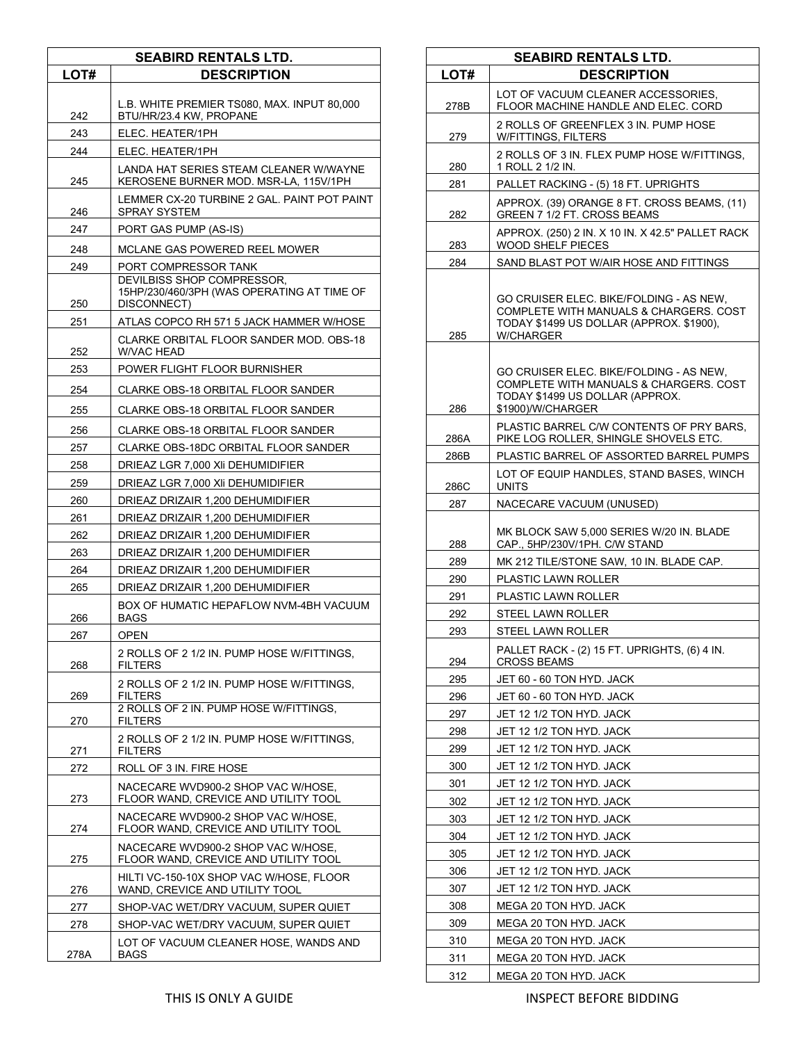| <b>SEABIRD RENTALS LTD.</b> |                                                                                         |
|-----------------------------|-----------------------------------------------------------------------------------------|
| LOT#                        | <b>DESCRIPTION</b>                                                                      |
|                             |                                                                                         |
| 242                         | L.B. WHITE PREMIER TS080, MAX. INPUT 80,000<br>BTU/HR/23.4 KW, PROPANE                  |
| 243                         | ELEC. HEATER/1PH                                                                        |
| 244                         | ELEC. HEATER/1PH                                                                        |
| 245                         | LANDA HAT SERIES STEAM CLEANER W/WAYNE<br>KEROSENE BURNER MOD. MSR-LA, 115V/1PH         |
| 246                         | LEMMER CX-20 TURBINE 2 GAL. PAINT POT PAINT<br>SPRAY SYSTEM                             |
| 247                         | PORT GAS PUMP (AS-IS)                                                                   |
| 248                         | MCLANE GAS POWERED REEL MOWER                                                           |
| 249                         | PORT COMPRESSOR TANK                                                                    |
| 250                         | DEVILBISS SHOP COMPRESSOR.<br>15HP/230/460/3PH (WAS OPERATING AT TIME OF<br>DISCONNECT) |
| 251                         | ATLAS COPCO RH 571 5 JACK HAMMER W/HOSE                                                 |
| 252                         | CLARKE ORBITAL FLOOR SANDER MOD. OBS-18<br>W/VAC HEAD                                   |
| 253                         | POWER FLIGHT FLOOR BURNISHER                                                            |
| 254                         | CLARKE OBS-18 ORBITAL FLOOR SANDER                                                      |
|                             |                                                                                         |
| 255                         | CLARKE OBS-18 ORBITAL FLOOR SANDER                                                      |
| 256                         | CLARKE OBS-18 ORBITAL FLOOR SANDER                                                      |
| 257                         | CLARKE OBS-18DC ORBITAL FLOOR SANDER                                                    |
| 258                         | DRIEAZ LGR 7,000 XII DEHUMIDIFIER                                                       |
| 259                         | DRIEAZ LGR 7,000 XII DEHUMIDIFIER                                                       |
| 260                         | DRIEAZ DRIZAIR 1,200 DEHUMIDIFIER                                                       |
| 261                         | DRIEAZ DRIZAIR 1,200 DEHUMIDIFIER                                                       |
| 262                         | DRIEAZ DRIZAIR 1,200 DEHUMIDIFIER                                                       |
| 263                         | DRIEAZ DRIZAIR 1,200 DEHUMIDIFIER                                                       |
| 264                         | DRIEAZ DRIZAIR 1,200 DEHUMIDIFIER                                                       |
| 265                         | DRIEAZ DRIZAIR 1,200 DEHUMIDIFIER                                                       |
| 266                         | BOX OF HUMATIC HEPAFLOW NVM-4BH VACUUM<br><b>BAGS</b>                                   |
| 267                         | <b>OPEN</b>                                                                             |
| 268                         | 2 ROLLS OF 2 1/2 IN. PUMP HOSE W/FITTINGS.<br><b>FILTERS</b>                            |
| 269                         | 2 ROLLS OF 2 1/2 IN. PUMP HOSE W/FITTINGS,<br><b>FILTERS</b>                            |
| 270                         | 2 ROLLS OF 2 IN. PUMP HOSE W/FITTINGS.<br><b>FILTERS</b>                                |
| 271                         | 2 ROLLS OF 2 1/2 IN. PUMP HOSE W/FITTINGS.<br><b>FILTERS</b>                            |
| 272                         | ROLL OF 3 IN. FIRE HOSE                                                                 |
| 273                         | NACECARE WVD900-2 SHOP VAC W/HOSE.<br>FLOOR WAND, CREVICE AND UTILITY TOOL              |
| 274                         | NACECARE WVD900-2 SHOP VAC W/HOSE,<br>FLOOR WAND, CREVICE AND UTILITY TOOL              |
| 275                         | NACECARE WVD900-2 SHOP VAC W/HOSE,<br>FLOOR WAND, CREVICE AND UTILITY TOOL              |
| 276                         | HILTI VC-150-10X SHOP VAC W/HOSE, FLOOR<br>WAND, CREVICE AND UTILITY TOOL               |
| 277                         | SHOP-VAC WET/DRY VACUUM, SUPER QUIET                                                    |
| 278                         | SHOP-VAC WET/DRY VACUUM, SUPER QUIET                                                    |
| 278A                        | LOT OF VACUUM CLEANER HOSE, WANDS AND<br>BAGS                                           |

| <b>SEABIRD RENTALS LTD.</b> |                                                                                                                                            |
|-----------------------------|--------------------------------------------------------------------------------------------------------------------------------------------|
| LOT#                        | <b>DESCRIPTION</b>                                                                                                                         |
| 278B                        | LOT OF VACUUM CLEANER ACCESSORIES,<br>FLOOR MACHINE HANDLE AND ELEC. CORD                                                                  |
| 279                         | 2 ROLLS OF GREENFLEX 3 IN. PUMP HOSE<br>W/FITTINGS, FILTERS                                                                                |
| 280                         | 2 ROLLS OF 3 IN. FLEX PUMP HOSE W/FITTINGS,<br>1 ROLL 2 1/2 IN.                                                                            |
| 281                         | PALLET RACKING - (5) 18 FT. UPRIGHTS                                                                                                       |
| 282                         | APPROX. (39) ORANGE 8 FT. CROSS BEAMS, (11)<br>GREEN 7 1/2 FT. CROSS BEAMS                                                                 |
| 283                         | APPROX. (250) 2 IN. X 10 IN. X 42.5" PALLET RACK<br><b>WOOD SHELF PIECES</b>                                                               |
| 284                         | SAND BLAST POT W/AIR HOSE AND FITTINGS                                                                                                     |
| 285                         | GO CRUISER ELEC. BIKE/FOLDING - AS NEW.<br>COMPLETE WITH MANUALS & CHARGERS. COST<br>TODAY \$1499 US DOLLAR (APPROX. \$1900).<br>W/CHARGER |
| 286                         | GO CRUISER ELEC. BIKE/FOLDING - AS NEW,<br>COMPLETE WITH MANUALS & CHARGERS. COST<br>TODAY \$1499 US DOLLAR (APPROX.<br>\$1900)/W/CHARGER  |
| 286A                        | PLASTIC BARREL C/W CONTENTS OF PRY BARS,<br>PIKE LOG ROLLER, SHINGLE SHOVELS ETC.                                                          |
| 286B                        | PLASTIC BARREL OF ASSORTED BARREL PUMPS                                                                                                    |
| 286C                        | LOT OF EQUIP HANDLES, STAND BASES, WINCH<br>UNITS                                                                                          |
| 287                         | NACECARE VACUUM (UNUSED)                                                                                                                   |
| 288                         | MK BLOCK SAW 5,000 SERIES W/20 IN. BLADE<br>CAP., 5HP/230V/1PH. C/W STAND                                                                  |
| 289                         | MK 212 TILE/STONE SAW, 10 IN. BLADE CAP.                                                                                                   |
| 290                         | PLASTIC LAWN ROLLER                                                                                                                        |
| 291                         | PLASTIC LAWN ROLLER                                                                                                                        |
| 292                         | STEEL LAWN ROLLER                                                                                                                          |
| 293<br>294                  | STEEL LAWN ROLLER<br>PALLET RACK - (2) 15 FT. UPRIGHTS, (6) 4 IN.<br><b>CROSS BEAMS</b>                                                    |
| 295                         | JET 60 - 60 TON HYD. JACK                                                                                                                  |
| 296                         | JET 60 - 60 TON HYD. JACK                                                                                                                  |
| 297                         | JET 12 1/2 TON HYD. JACK                                                                                                                   |
| 298                         | JET 12 1/2 TON HYD. JACK                                                                                                                   |
| 299                         | JET 12 1/2 TON HYD. JACK                                                                                                                   |
| 300                         | JET 12 1/2 TON HYD. JACK                                                                                                                   |
| 301                         | JET 12 1/2 TON HYD. JACK                                                                                                                   |
| 302                         | JET 12 1/2 TON HYD. JACK                                                                                                                   |
| 303                         | JET 12 1/2 TON HYD. JACK                                                                                                                   |
| 304                         | JET 12 1/2 TON HYD. JACK                                                                                                                   |
| 305                         | JET 12 1/2 TON HYD. JACK                                                                                                                   |
| 306                         | JET 12 1/2 TON HYD. JACK                                                                                                                   |
| 307                         | JET 12 1/2 TON HYD. JACK                                                                                                                   |
| 308                         | MEGA 20 TON HYD. JACK                                                                                                                      |
| 309                         | MEGA 20 TON HYD. JACK                                                                                                                      |
| 310                         | MEGA 20 TON HYD. JACK                                                                                                                      |
| 311                         | MEGA 20 TON HYD. JACK                                                                                                                      |
| 312                         | MEGA 20 TON HYD. JACK                                                                                                                      |

THIS IS ONLY A GUIDE **INSPECT BEFORE BIDDING**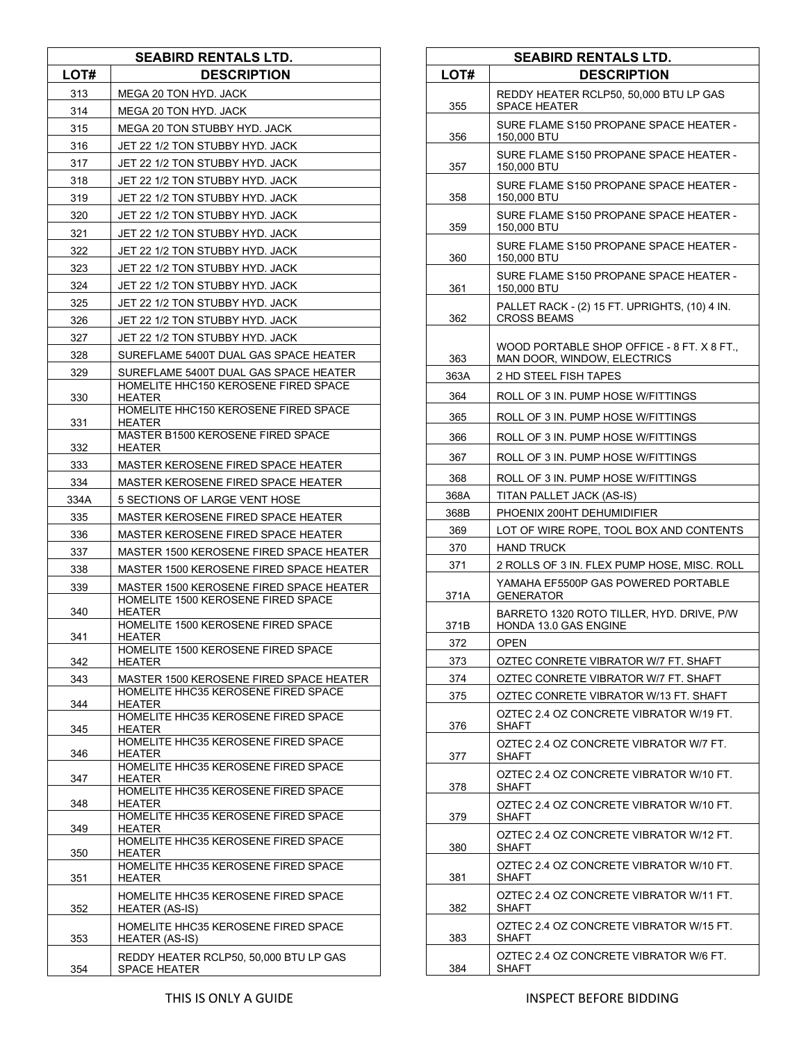|      | <b>SEABIRD RENTALS LTD.</b>                                                                 |
|------|---------------------------------------------------------------------------------------------|
| LOT# | <b>DESCRIPTION</b>                                                                          |
| 313  | MEGA 20 TON HYD. JACK                                                                       |
| 314  | MEGA 20 TON HYD. JACK                                                                       |
| 315  | MEGA 20 TON STUBBY HYD. JACK                                                                |
| 316  | JET 22 1/2 TON STUBBY HYD. JACK                                                             |
| 317  | JET 22 1/2 TON STUBBY HYD. JACK                                                             |
| 318  | JET 22 1/2 TON STUBBY HYD. JACK                                                             |
| 319  | JET 22 1/2 TON STUBBY HYD. JACK                                                             |
| 320  | JET 22 1/2 TON STUBBY HYD. JACK                                                             |
| 321  | JET 22 1/2 TON STUBBY HYD. JACK                                                             |
| 322  | JET 22 1/2 TON STUBBY HYD. JACK                                                             |
| 323  | JET 22 1/2 TON STUBBY HYD. JACK                                                             |
| 324  | JET 22 1/2 TON STUBBY HYD. JACK                                                             |
| 325  | JET 22 1/2 TON STUBBY HYD. JACK                                                             |
| 326  | JET 22 1/2 TON STUBBY HYD. JACK                                                             |
| 327  | JET 22 1/2 TON STUBBY HYD. JACK                                                             |
| 328  | SUREFLAME 5400T DUAL GAS SPACE HEATER                                                       |
| 329  | SUREFLAME 5400T DUAL GAS SPACE HEATER                                                       |
| 330  | HOMELITE HHC150 KEROSENE FIRED SPACE<br>HEATER                                              |
| 331  | HOMELITE HHC150 KEROSENE FIRED SPACE<br><b>HEATER</b>                                       |
| 332  | MASTER B1500 KEROSENE FIRED SPACE<br><b>HEATER</b>                                          |
| 333  | MASTER KEROSENE FIRED SPACE HEATER                                                          |
| 334  | MASTER KEROSENE FIRED SPACE HEATER                                                          |
| 334A | 5 SECTIONS OF LARGE VENT HOSE                                                               |
| 335  | MASTER KEROSENE FIRED SPACE HEATER                                                          |
| 336  | MASTER KEROSENE FIRED SPACE HEATER                                                          |
| 337  | MASTER 1500 KEROSENE FIRED SPACE HEATER                                                     |
| 338  | MASTER 1500 KEROSENE FIRED SPACE HEATER                                                     |
| 339  | MASTER 1500 KEROSENE FIRED SPACE HEATER<br>HOMELITE 1500 KEROSENE FIRED SPACE               |
| 340  | <b>HEATER</b><br>HOMELITE 1500 KEROSENE FIRED SPACE                                         |
| 341  | HEATER<br>HOMELITE 1500 KEROSENE FIRED SPACE                                                |
| 342  | <b>HEATER</b>                                                                               |
| 343  | MASTER 1500 KEROSENE FIRED SPACE HEATER<br>HOMELITE HHC35 KEROSENE FIRED SPACE              |
| 344  | HEATER<br>HOMELITE HHC35 KEROSENE FIRED SPACE                                               |
| 345  | HEATER                                                                                      |
| 346  | HOMELITE HHC35 KEROSENE FIRED SPACE<br><b>HEATER</b>                                        |
| 347  | HOMELITE HHC35 KEROSENE FIRED SPACE<br><b>HEATER</b>                                        |
| 348  | HOMELITE HHC35 KEROSENE FIRED SPACE<br>HEATER                                               |
| 349  | HOMELITE HHC35 KEROSENE FIRED SPACE<br><b>HEATER</b><br>HOMELITE HHC35 KEROSENE FIRED SPACE |
| 350  | <b>HEATER</b>                                                                               |
| 351  | HOMELITE HHC35 KEROSENE FIRED SPACE<br>HEATER                                               |
| 352  | HOMELITE HHC35 KEROSENE FIRED SPACE<br>HEATER (AS-IS)                                       |
| 353  | HOMELITE HHC35 KEROSENE FIRED SPACE<br>HEATER (AS-IS)                                       |
| 354  | REDDY HEATER RCLP50, 50,000 BTU LP GAS<br><b>SPACE HEATER</b>                               |

| <b>SEABIRD RENTALS LTD.</b> |                                                                           |
|-----------------------------|---------------------------------------------------------------------------|
| LOT#                        | <b>DESCRIPTION</b>                                                        |
| 355                         | REDDY HEATER RCLP50, 50,000 BTU LP GAS<br><b>SPACE HEATER</b>             |
| 356                         | SURE FLAME S150 PROPANE SPACE HEATER -<br>150,000 BTU                     |
| 357                         | SURE FLAME S150 PROPANE SPACE HEATER -<br>150,000 BTU                     |
| 358                         | SURE FLAME S150 PROPANE SPACE HEATER -<br>150,000 BTU                     |
| 359                         | SURE FLAME S150 PROPANE SPACE HEATER -<br>150,000 BTU                     |
| 360                         | SURE FLAME S150 PROPANE SPACE HEATER -<br>150,000 BTU                     |
| 361                         | SURE FLAME S150 PROPANE SPACE HEATER -<br>150,000 BTU                     |
| 362                         | PALLET RACK - (2) 15 FT. UPRIGHTS, (10) 4 IN.<br><b>CROSS BEAMS</b>       |
| 363                         | WOOD PORTABLE SHOP OFFICE - 8 FT. X 8 FT.,<br>MAN DOOR, WINDOW, ELECTRICS |
| 363A                        | 2 HD STEEL FISH TAPES                                                     |
| 364                         | ROLL OF 3 IN. PUMP HOSE W/FITTINGS                                        |
| 365                         | ROLL OF 3 IN. PUMP HOSE W/FITTINGS                                        |
| 366                         | ROLL OF 3 IN. PUMP HOSE W/FITTINGS                                        |
| 367                         | ROLL OF 3 IN. PUMP HOSE W/FITTINGS                                        |
| 368                         | ROLL OF 3 IN. PUMP HOSE W/FITTINGS                                        |
| 368A                        | TITAN PALLET JACK (AS-IS)                                                 |
| 368B                        | PHOENIX 200HT DEHUMIDIFIER                                                |
| 369                         | LOT OF WIRE ROPE, TOOL BOX AND CONTENTS                                   |
| 370                         | HAND TRUCK                                                                |
| 371                         | 2 ROLLS OF 3 IN. FLEX PUMP HOSE, MISC. ROLL                               |
| 371A                        | YAMAHA EF5500P GAS POWERED PORTABLE<br><b>GENERATOR</b>                   |
| 371B                        | BARRETO 1320 ROTO TILLER, HYD. DRIVE, P/W<br>HONDA 13.0 GAS ENGINE        |
| 372                         | OPEN                                                                      |
| 373                         | OZTEC CONRETE VIBRATOR W/7 FT. SHAFT                                      |
| 374                         | OZTEC CONRETE VIBRATOR W/7 FT. SHAFT                                      |
| 375                         | OZTEC CONRETE VIBRATOR W/13 FT. SHAFT                                     |
| 376                         | OZTEC 2.4 OZ CONCRETE VIBRATOR W/19 FT.<br>SHAFT                          |
| 377                         | OZTEC 2.4 OZ CONCRETE VIBRATOR W/7 FT.<br><b>SHAFT</b>                    |
| 378                         | OZTEC 2.4 OZ CONCRETE VIBRATOR W/10 FT.<br><b>SHAFT</b>                   |
| 379                         | OZTEC 2.4 OZ CONCRETE VIBRATOR W/10 FT.<br>SHAFT                          |
| 380                         | OZTEC 2.4 OZ CONCRETE VIBRATOR W/12 FT.<br>SHAFT                          |
| 381                         | OZTEC 2.4 OZ CONCRETE VIBRATOR W/10 FT.<br>SHAFT                          |
| 382                         | OZTEC 2.4 OZ CONCRETE VIBRATOR W/11 FT.<br>SHAFT                          |
| 383                         | OZTEC 2.4 OZ CONCRETE VIBRATOR W/15 FT.<br>SHAFT                          |
| 384                         | OZTEC 2.4 OZ CONCRETE VIBRATOR W/6 FT.<br>SHAFT                           |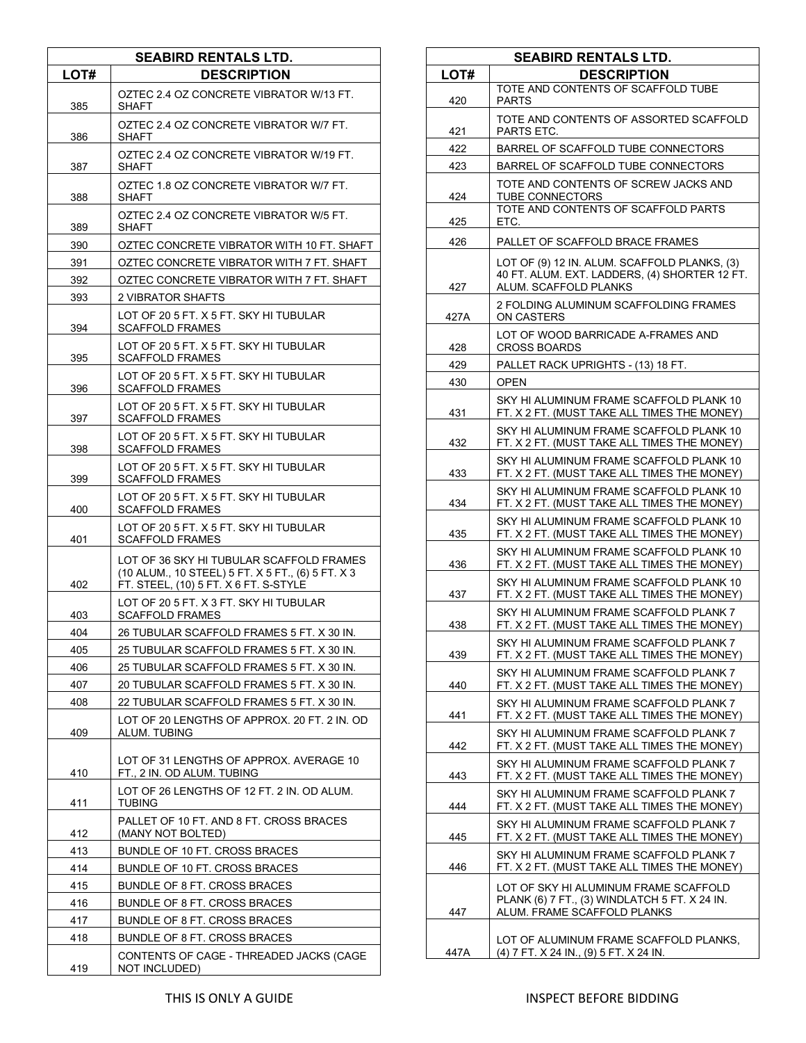| <b>SEABIRD RENTALS LTD.</b> |                                                                                                                                        |
|-----------------------------|----------------------------------------------------------------------------------------------------------------------------------------|
| LOT#                        | <b>DESCRIPTION</b>                                                                                                                     |
| 385                         | OZTEC 2.4 OZ CONCRETE VIBRATOR W/13 FT.<br>SHAFT                                                                                       |
| 386                         | OZTEC 2.4 OZ CONCRETE VIBRATOR W/7 FT.<br>SHAFT                                                                                        |
| 387                         | OZTEC 2.4 OZ CONCRETE VIBRATOR W/19 FT.<br>SHAFT                                                                                       |
| 388                         | OZTEC 1.8 OZ CONCRETE VIBRATOR W/7 FT.<br>SHAFT                                                                                        |
| 389                         | OZTEC 2.4 OZ CONCRETE VIBRATOR W/5 FT.<br>SHAFT                                                                                        |
| 390                         | OZTEC CONCRETE VIBRATOR WITH 10 FT. SHAFT                                                                                              |
| 391                         | OZTEC CONCRETE VIBRATOR WITH 7 FT. SHAFT                                                                                               |
| 392                         | OZTEC CONCRETE VIBRATOR WITH 7 FT. SHAFT                                                                                               |
| 393                         | 2 VIBRATOR SHAFTS                                                                                                                      |
| 394                         | LOT OF 20 5 FT. X 5 FT. SKY HI TUBULAR<br><b>SCAFFOLD FRAMES</b>                                                                       |
| 395                         | LOT OF 20 5 FT. X 5 FT. SKY HI TUBULAR<br><b>SCAFFOLD FRAMES</b>                                                                       |
| 396                         | LOT OF 20 5 FT. X 5 FT. SKY HI TUBULAR<br><b>SCAFFOLD FRAMES</b>                                                                       |
| 397                         | LOT OF 20 5 FT. X 5 FT. SKY HI TUBULAR<br><b>SCAFFOLD FRAMES</b>                                                                       |
| 398                         | LOT OF 20 5 FT. X 5 FT. SKY HI TUBULAR<br><b>SCAFFOLD FRAMES</b>                                                                       |
| 399                         | LOT OF 20 5 FT. X 5 FT. SKY HI TUBULAR<br><b>SCAFFOLD FRAMES</b>                                                                       |
| 400                         | LOT OF 20 5 FT. X 5 FT. SKY HI TUBULAR<br><b>SCAFFOLD FRAMES</b>                                                                       |
| 401                         | LOT OF 20 5 FT. X 5 FT. SKY HI TUBULAR<br><b>SCAFFOLD FRAMES</b>                                                                       |
| 402                         | LOT OF 36 SKY HI TUBULAR SCAFFOLD FRAMES<br>(10 ALUM., 10 STEEL) 5 FT. X 5 FT., (6) 5 FT. X 3<br>FT. STEEL, (10) 5 FT. X 6 FT. S-STYLE |
| 403                         | LOT OF 20 5 FT. X 3 FT. SKY HI TUBULAR<br><b>SCAFFOLD FRAMES</b>                                                                       |
| 404                         | 26 TUBULAR SCAFFOLD FRAMES 5 FT. X 30 IN.                                                                                              |
| 405                         | 25 TUBULAR SCAFFOLD FRAMES 5 FT. X 30 IN.                                                                                              |
| 406                         | 25 TUBULAR SCAFFOLD FRAMES 5 FT. X 30 IN.                                                                                              |
| 407                         | 20 TUBULAR SCAFFOLD FRAMES 5 FT. X 30 IN.                                                                                              |
| 408                         | 22 TUBULAR SCAFFOLD FRAMES 5 FT. X 30 IN.                                                                                              |
| 409                         | LOT OF 20 LENGTHS OF APPROX, 20 FT, 2 IN, OD<br>ALUM. TUBING                                                                           |
| 410                         | LOT OF 31 LENGTHS OF APPROX, AVERAGE 10<br>FT., 2 IN. OD ALUM. TUBING                                                                  |
| 411                         | LOT OF 26 LENGTHS OF 12 FT, 2 IN, OD ALUM.<br><b>TUBING</b>                                                                            |
| 412                         | PALLET OF 10 FT. AND 8 FT. CROSS BRACES<br>(MANY NOT BOLTED)                                                                           |
| 413                         | BUNDLE OF 10 FT. CROSS BRACES                                                                                                          |
| 414                         | BUNDLE OF 10 FT. CROSS BRACES                                                                                                          |
| 415                         | BUNDLE OF 8 FT. CROSS BRACES                                                                                                           |
| 416                         | BUNDLE OF 8 FT. CROSS BRACES                                                                                                           |
| 417                         | BUNDLE OF 8 FT. CROSS BRACES                                                                                                           |
| 418                         | BUNDLE OF 8 FT. CROSS BRACES                                                                                                           |
| 419                         | CONTENTS OF CAGE - THREADED JACKS (CAGE<br>NOT INCLUDED)                                                                               |

| <b>SEABIRD RENTALS LTD.</b> |                                                                                                                        |
|-----------------------------|------------------------------------------------------------------------------------------------------------------------|
| LOT#                        | <b>DESCRIPTION</b>                                                                                                     |
| 420                         | TOTE AND CONTENTS OF SCAFFOLD TUBE<br><b>PARTS</b>                                                                     |
| 421                         | TOTE AND CONTENTS OF ASSORTED SCAFFOLD<br>PARTS ETC.                                                                   |
| 422                         | BARREL OF SCAFFOLD TUBE CONNECTORS                                                                                     |
| 423                         | BARREL OF SCAFFOLD TUBE CONNECTORS                                                                                     |
| 424                         | TOTE AND CONTENTS OF SCREW JACKS AND<br>TUBE CONNECTORS                                                                |
| 425                         | TOTE AND CONTENTS OF SCAFFOLD PARTS<br>ETC.                                                                            |
| 426                         | PALLET OF SCAFFOLD BRACE FRAMES                                                                                        |
| 427                         | LOT OF (9) 12 IN. ALUM. SCAFFOLD PLANKS, (3)<br>40 FT. ALUM. EXT. LADDERS, (4) SHORTER 12 FT.<br>ALUM. SCAFFOLD PLANKS |
| 427A                        | 2 FOLDING ALUMINUM SCAFFOLDING FRAMES<br>ON CASTERS                                                                    |
| 428                         | LOT OF WOOD BARRICADE A-FRAMES AND<br><b>CROSS BOARDS</b>                                                              |
| 429                         | PALLET RACK UPRIGHTS - (13) 18 FT.                                                                                     |
| 430                         | <b>OPEN</b>                                                                                                            |
| 431                         | SKY HI ALUMINUM FRAME SCAFFOLD PLANK 10<br>FT. X 2 FT. (MUST TAKE ALL TIMES THE MONEY)                                 |
| 432                         | SKY HI ALUMINUM FRAME SCAFFOLD PLANK 10<br>FT. X 2 FT. (MUST TAKE ALL TIMES THE MONEY)                                 |
| 433                         | SKY HI ALUMINUM FRAME SCAFFOLD PLANK 10<br>FT. X 2 FT. (MUST TAKE ALL TIMES THE MONEY)                                 |
| 434                         | SKY HI ALUMINUM FRAME SCAFFOLD PLANK 10<br>FT. X 2 FT. (MUST TAKE ALL TIMES THE MONEY)                                 |
| 435                         | SKY HI ALUMINUM FRAME SCAFFOLD PLANK 10<br>FT. X 2 FT. (MUST TAKE ALL TIMES THE MONEY)                                 |
| 436                         | SKY HI ALUMINUM FRAME SCAFFOLD PLANK 10<br>FT. X 2 FT. (MUST TAKE ALL TIMES THE MONEY)                                 |
| 437                         | SKY HI ALUMINUM FRAME SCAFFOLD PLANK 10<br>FT. X 2 FT. (MUST TAKE ALL TIMES THE MONEY)                                 |
| 438                         | SKY HI ALUMINUM FRAME SCAFFOLD PLANK 7<br>FT. X 2 FT. (MUST TAKE ALL TIMES THE MONEY)                                  |
| 439                         | SKY HI ALUMINUM FRAME SCAFFOLD PLANK 7<br>FT. X 2 FT. (MUST TAKE ALL TIMES THE MONEY)                                  |
| 440                         | SKY HI ALUMINUM FRAME SCAFFOLD PLANK 7<br>FT. X 2 FT. (MUST TAKE ALL TIMES THE MONEY)                                  |
| 441                         | SKY HI ALUMINUM FRAME SCAFFOLD PLANK 7<br>FT. X 2 FT. (MUST TAKE ALL TIMES THE MONEY)                                  |
| 442                         | SKY HI ALUMINUM FRAME SCAFFOLD PLANK 7<br>FT. X 2 FT. (MUST TAKE ALL TIMES THE MONEY)                                  |
| 443                         | SKY HI ALUMINUM FRAME SCAFFOLD PLANK 7<br>FT. X 2 FT. (MUST TAKE ALL TIMES THE MONEY)                                  |
| 444                         | SKY HI ALUMINUM FRAME SCAFFOLD PLANK 7<br>FT. X 2 FT. (MUST TAKE ALL TIMES THE MONEY)                                  |
| 445                         | SKY HI ALUMINUM FRAME SCAFFOLD PLANK 7<br>FT. X 2 FT. (MUST TAKE ALL TIMES THE MONEY)                                  |
| 446                         | SKY HI ALUMINUM FRAME SCAFFOLD PLANK 7<br>FT. X 2 FT. (MUST TAKE ALL TIMES THE MONEY)                                  |
| 447                         | LOT OF SKY HI ALUMINUM FRAME SCAFFOLD<br>PLANK (6) 7 FT., (3) WINDLATCH 5 FT. X 24 IN.<br>ALUM. FRAME SCAFFOLD PLANKS  |
| 447A                        | LOT OF ALUMINUM FRAME SCAFFOLD PLANKS,<br>(4) 7 FT. X 24 IN., (9) 5 FT. X 24 IN.                                       |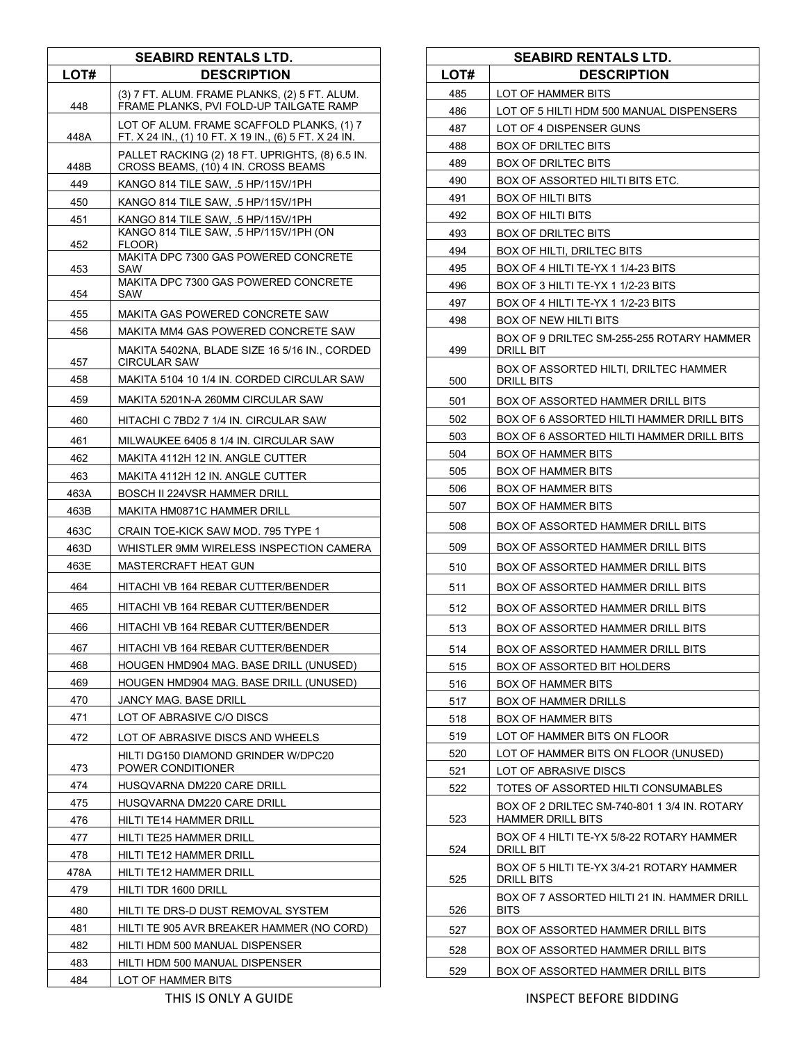| <b>SEABIRD RENTALS LTD.</b> |                                                                                                    |
|-----------------------------|----------------------------------------------------------------------------------------------------|
| LOT#                        | <b>DESCRIPTION</b>                                                                                 |
| 448                         | (3) 7 FT. ALUM. FRAME PLANKS, (2) 5 FT. ALUM.<br>FRAME PLANKS, PVI FOLD-UP TAILGATE RAMP           |
| 448A                        | LOT OF ALUM. FRAME SCAFFOLD PLANKS, (1) 7<br>FT. X 24 IN., (1) 10 FT. X 19 IN., (6) 5 FT. X 24 IN. |
| 448B                        | PALLET RACKING (2) 18 FT. UPRIGHTS, (8) 6.5 IN.<br>CROSS BEAMS, (10) 4 IN. CROSS BEAMS             |
| 449                         | KANGO 814 TILE SAW, .5 HP/115V/1PH                                                                 |
| 450                         | KANGO 814 TILE SAW, .5 HP/115V/1PH                                                                 |
| 451                         | KANGO 814 TILE SAW, .5 HP/115V/1PH                                                                 |
| 452                         | KANGO 814 TILE SAW, .5 HP/115V/1PH (ON<br>FLOOR)<br>MAKITA DPC 7300 GAS POWERED CONCRETE           |
| 453                         | SAW                                                                                                |
| 454                         | MAKITA DPC 7300 GAS POWERED CONCRETE<br>SAW                                                        |
| 455                         | MAKITA GAS POWERED CONCRETE SAW                                                                    |
| 456                         | MAKITA MM4 GAS POWERED CONCRETE SAW                                                                |
| 457                         | MAKITA 5402NA, BLADE SIZE 16 5/16 IN., CORDED<br><b>CIRCULAR SAW</b>                               |
| 458                         | MAKITA 5104 10 1/4 IN. CORDED CIRCULAR SAW                                                         |
| 459                         | MAKITA 5201N-A 260MM CIRCULAR SAW                                                                  |
| 460                         | HITACHI C 7BD2 7 1/4 IN. CIRCULAR SAW                                                              |
| 461                         | MILWAUKEE 6405 8 1/4 IN. CIRCULAR SAW                                                              |
| 462                         | MAKITA 4112H 12 IN. ANGLE CUTTER                                                                   |
| 463                         | MAKITA 4112H 12 IN. ANGLE CUTTER                                                                   |
| 463A                        | <b>BOSCH II 224VSR HAMMER DRILL</b>                                                                |
| 463B                        | MAKITA HM0871C HAMMER DRILL                                                                        |
| 463C                        | CRAIN TOE-KICK SAW MOD. 795 TYPE 1                                                                 |
| 463D                        | WHISTLER 9MM WIRELESS INSPECTION CAMERA                                                            |
| 463E                        | MASTERCRAFT HEAT GUN                                                                               |
| 464                         | HITACHI VB 164 REBAR CUTTER/BENDER                                                                 |
| 465                         | HITACHI VB 164 REBAR CUTTER/BENDER                                                                 |
| 466                         | HITACHI VB 164 REBAR CUTTER/BENDER                                                                 |
| 467                         | HITACHI VB 164 REBAR CUTTER/BENDER                                                                 |
| 468                         | HOUGEN HMD904 MAG. BASE DRILL (UNUSED)                                                             |
| 469                         | HOUGEN HMD904 MAG. BASE DRILL (UNUSED)                                                             |
| 470                         | JANCY MAG. BASE DRILL                                                                              |
| 471                         | LOT OF ABRASIVE C/O DISCS                                                                          |
| 472                         | LOT OF ABRASIVE DISCS AND WHEELS                                                                   |
| 473                         | HILTI DG150 DIAMOND GRINDER W/DPC20<br>POWER CONDITIONER                                           |
| 474                         | HUSQVARNA DM220 CARE DRILL                                                                         |
| 475                         | HUSQVARNA DM220 CARE DRILL                                                                         |
| 476                         | HILTI TE14 HAMMER DRILL                                                                            |
| 477                         | HILTI TE25 HAMMER DRILL                                                                            |
| 478                         | HILTI TE12 HAMMER DRILL                                                                            |
| 478A                        | HILTI TE12 HAMMER DRILL                                                                            |
| 479                         | HILTI TDR 1600 DRILL                                                                               |
| 480                         | HILTI TE DRS-D DUST REMOVAL SYSTEM                                                                 |
| 481                         | HILTI TE 905 AVR BREAKER HAMMER (NO CORD)                                                          |
| 482                         | HILTI HDM 500 MANUAL DISPENSER                                                                     |
| 483                         | HILTI HDM 500 MANUAL DISPENSER                                                                     |
| 484                         | LOT OF HAMMER BITS                                                                                 |

|      | <b>SEABIRD RENTALS LTD.</b>                                       |
|------|-------------------------------------------------------------------|
| LOT# | <b>DESCRIPTION</b>                                                |
| 485  | LOT OF HAMMER BITS                                                |
| 486  | LOT OF 5 HILTI HDM 500 MANUAL DISPENSERS                          |
| 487  | LOT OF 4 DISPENSER GUNS                                           |
| 488  | BOX OF DRILTEC BITS                                               |
| 489  | <b>BOX OF DRILTEC BITS</b>                                        |
| 490  | BOX OF ASSORTED HILTI BITS ETC.                                   |
| 491  | <b>BOX OF HILTI BITS</b>                                          |
| 492  | BOX OF HILTI BITS                                                 |
| 493  | <b>BOX OF DRILTEC BITS</b>                                        |
| 494  | BOX OF HILTI, DRILTEC BITS                                        |
| 495  | BOX OF 4 HILTI TE-YX 1 1/4-23 BITS                                |
| 496  | BOX OF 3 HILTI TE-YX 1 1/2-23 BITS                                |
| 497  | BOX OF 4 HILTI TE-YX 1 1/2-23 BITS                                |
| 498  | BOX OF NEW HILTI BITS                                             |
| 499  | BOX OF 9 DRILTEC SM-255-255 ROTARY HAMMER<br>DRILL BIT            |
| 500  | BOX OF ASSORTED HILTI, DRILTEC HAMMER<br>DRILL BITS               |
| 501  | BOX OF ASSORTED HAMMER DRILL BITS                                 |
| 502  | BOX OF 6 ASSORTED HILTI HAMMER DRILL BITS                         |
| 503  | BOX OF 6 ASSORTED HILTI HAMMER DRILL BITS                         |
| 504  | BOX OF HAMMER BITS                                                |
| 505  | <b>BOX OF HAMMER BITS</b>                                         |
| 506  | <b>BOX OF HAMMER BITS</b>                                         |
| 507  | <b>BOX OF HAMMER BITS</b>                                         |
| 508  | BOX OF ASSORTED HAMMER DRILL BITS                                 |
| 509  | BOX OF ASSORTED HAMMER DRILL BITS                                 |
| 510  | BOX OF ASSORTED HAMMER DRILL BITS                                 |
| 511  | BOX OF ASSORTED HAMMER DRILL BITS                                 |
| 512  | BOX OF ASSORTED HAMMER DRILL BITS                                 |
| 513  | BOX OF ASSORTED HAMMER DRILL BITS                                 |
| 514  | BOX OF ASSORTED HAMMER DRILL BITS                                 |
| 515  | BOX OF ASSORTED BIT HOLDERS                                       |
| 516  | <b>BOX OF HAMMER BITS</b>                                         |
| 517  | <b>BOX OF HAMMER DRILLS</b>                                       |
| 518  | BOX OF HAMMER BITS                                                |
| 519  | LOT OF HAMMER BITS ON FLOOR                                       |
| 520  | LOT OF HAMMER BITS ON FLOOR (UNUSED)                              |
| 521  | LOT OF ABRASIVE DISCS                                             |
| 522  | TOTES OF ASSORTED HILTI CONSUMABLES                               |
| 523  | BOX OF 2 DRILTEC SM-740-801 1 3/4 IN. ROTARY<br>HAMMER DRILL BITS |
| 524  | BOX OF 4 HILTI TE-YX 5/8-22 ROTARY HAMMER<br>DRILL BIT            |
| 525  | BOX OF 5 HILTI TE-YX 3/4-21 ROTARY HAMMER<br>DRILL BITS           |
| 526  | BOX OF 7 ASSORTED HILTI 21 IN. HAMMER DRILL<br>BITS               |
| 527  | BOX OF ASSORTED HAMMER DRILL BITS                                 |
| 528  | BOX OF ASSORTED HAMMER DRILL BITS                                 |
| 529  | BOX OF ASSORTED HAMMER DRILL BITS                                 |
|      |                                                                   |

THIS IS ONLY A GUIDE **INSPECT BEFORE BIDDING**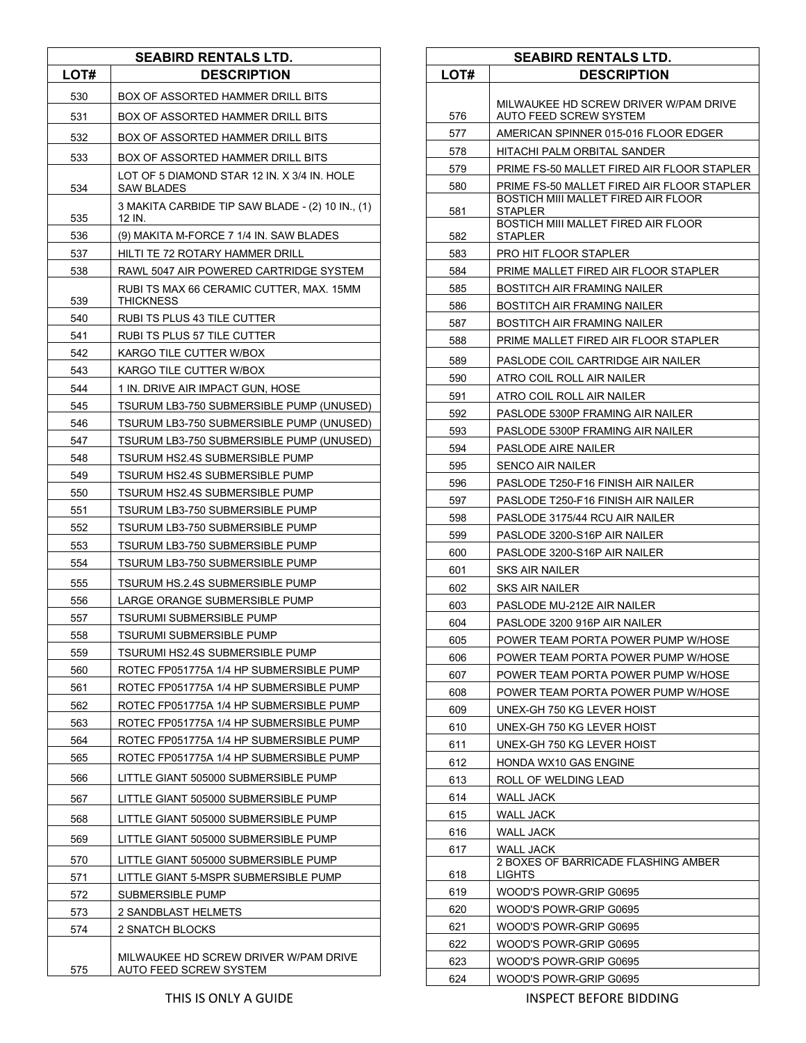|      | <b>SEABIRD RENTALS LTD.</b>                                     |
|------|-----------------------------------------------------------------|
| LOT# | <b>DESCRIPTION</b>                                              |
| 530  | BOX OF ASSORTED HAMMER DRILL BITS                               |
| 531  | BOX OF ASSORTED HAMMER DRILL BITS                               |
| 532  | BOX OF ASSORTED HAMMER DRILL BITS                               |
| 533  | BOX OF ASSORTED HAMMER DRILL BITS                               |
| 534  | LOT OF 5 DIAMOND STAR 12 IN, X 3/4 IN, HOLE<br>SAW BLADES       |
| 535  | 3 MAKITA CARBIDE TIP SAW BLADE - (2) 10 IN., (1)<br>12 IN.      |
| 536  | (9) MAKITA M-FORCE 7 1/4 IN. SAW BLADES                         |
| 537  | HILTI TE 72 ROTARY HAMMER DRILL                                 |
| 538  | RAWL 5047 AIR POWERED CARTRIDGE SYSTEM                          |
| 539  | RUBI TS MAX 66 CERAMIC CUTTER, MAX. 15MM<br>THICKNESS           |
| 540  | RUBI TS PLUS 43 TILE CUTTER                                     |
| 541  | RUBI TS PLUS 57 TILE CUTTER                                     |
| 542  | KARGO TILE CUTTER W/BOX                                         |
| 543  | KARGO TILE CUTTER W/BOX                                         |
| 544  | 1 IN. DRIVE AIR IMPACT GUN, HOSE                                |
| 545  | TSURUM LB3-750 SUBMERSIBLE PUMP (UNUSED)                        |
| 546  | TSURUM LB3-750 SUBMERSIBLE PUMP (UNUSED)                        |
| 547  | TSURUM LB3-750 SUBMERSIBLE PUMP (UNUSED)                        |
| 548  | TSURUM HS2.4S SUBMERSIBLE PUMP                                  |
| 549  | TSURUM HS2.4S SUBMERSIBLE PUMP                                  |
| 550  | TSURUM HS2.4S SUBMERSIBLE PUMP                                  |
| 551  | TSURUM LB3-750 SUBMERSIBLE PUMP                                 |
| 552  | TSURUM LB3-750 SUBMERSIBLE PUMP                                 |
| 553  | TSURUM LB3-750 SUBMERSIBLE PUMP                                 |
| 554  | TSURUM LB3-750 SUBMERSIBLE PUMP                                 |
| 555  | TSURUM HS.2.4S SUBMERSIBLE PUMP                                 |
| 556  | LARGE ORANGE SUBMERSIBLE PUMP                                   |
| 557  | <b>TSURUMI SUBMERSIBLE PUMP</b>                                 |
| 558  | <b>TSURUMI SUBMERSIBLE PUMP</b>                                 |
| 559  | TSURUMI HS2.4S SUBMERSIBLE PUMP                                 |
| 560  | ROTEC FP051775A 1/4 HP SUBMERSIBLE PUMP                         |
| 561  | ROTEC FP051775A 1/4 HP SUBMERSIBLE PUMP                         |
| 562  | ROTEC FP051775A 1/4 HP SUBMERSIBLE PUMP                         |
| 563  | ROTEC FP051775A 1/4 HP SUBMERSIBLE PUMP                         |
| 564  | ROTEC FP051775A 1/4 HP SUBMERSIBLE PUMP                         |
| 565  | ROTEC FP051775A 1/4 HP SUBMERSIBLE PUMP                         |
| 566  | LITTLE GIANT 505000 SUBMERSIBLE PUMP                            |
| 567  | LITTLE GIANT 505000 SUBMERSIBLE PUMP                            |
| 568  | LITTLE GIANT 505000 SUBMERSIBLE PUMP                            |
| 569  | LITTLE GIANT 505000 SUBMERSIBLE PUMP                            |
| 570  | LITTLE GIANT 505000 SUBMERSIBLE PUMP                            |
| 571  | LITTLE GIANT 5-MSPR SUBMERSIBLE PUMP                            |
| 572  | SUBMERSIBLE PUMP                                                |
| 573  | 2 SANDBLAST HELMETS                                             |
| 574  | 2 SNATCH BLOCKS                                                 |
| 575  | MILWAUKEE HD SCREW DRIVER W/PAM DRIVE<br>AUTO FEED SCREW SYSTEM |

|      | <b>SEABIRD RENTALS LTD.</b>                                     |
|------|-----------------------------------------------------------------|
| LOT# | <b>DESCRIPTION</b>                                              |
|      |                                                                 |
| 576  | MILWAUKEE HD SCREW DRIVER W/PAM DRIVE<br>AUTO FEED SCREW SYSTEM |
| 577  | AMERICAN SPINNER 015-016 FLOOR EDGER                            |
| 578  | HITACHI PALM ORBITAL SANDER                                     |
| 579  | PRIME FS-50 MALLET FIRED AIR FLOOR STAPLER                      |
| 580  | PRIME FS-50 MALLET FIRED AIR FLOOR STAPLER                      |
| 581  | BOSTICH MIII MALLET FIRED AIR FLOOR<br>STAPLER                  |
| 582  | BOSTICH MIII MALLET FIRED AIR FLOOR<br>STAPLER                  |
| 583  | PRO HIT FLOOR STAPLER                                           |
| 584  | PRIME MALLET FIRED AIR FLOOR STAPLER                            |
| 585  | BOSTITCH AIR FRAMING NAILER                                     |
| 586  | BOSTITCH AIR FRAMING NAILER                                     |
| 587  | BOSTITCH AIR FRAMING NAILER                                     |
| 588  | PRIME MALLET FIRED AIR FLOOR STAPLER                            |
|      |                                                                 |
| 589  | PASLODE COIL CARTRIDGE AIR NAILER                               |
| 590  | ATRO COIL ROLL AIR NAILER                                       |
| 591  | ATRO COIL ROLL AIR NAILER                                       |
| 592  | PASLODE 5300P FRAMING AIR NAILER                                |
| 593  | PASLODE 5300P FRAMING AIR NAILER                                |
| 594  | PASLODE AIRE NAILER                                             |
| 595  | <b>SENCO AIR NAILER</b>                                         |
| 596  | PASLODE T250-F16 FINISH AIR NAILER                              |
| 597  | PASLODE T250-F16 FINISH AIR NAILER                              |
| 598  | PASLODE 3175/44 RCU AIR NAILER                                  |
| 599  | PASLODE 3200-S16P AIR NAILER                                    |
| 600  | PASLODE 3200-S16P AIR NAILER                                    |
| 601  | SKS AIR NAILER                                                  |
| 602  | SKS AIR NAILER                                                  |
| 603  | PASLODE MU-212E AIR NAILER                                      |
| 604  | PASLODE 3200 916P AIR NAILER                                    |
| 605  | POWER TEAM PORTA POWER PUMP W/HOSE                              |
| 606  | POWER TEAM PORTA POWER PUMP W/HOSE                              |
| 607  | POWER TEAM PORTA POWER PUMP W/HOSE                              |
| 608  | POWER TEAM PORTA POWER PUMP W/HOSE                              |
| 609  | UNEX-GH 750 KG LEVER HOIST                                      |
| 610  | UNEX-GH 750 KG LEVER HOIST                                      |
| 611  | UNEX-GH 750 KG LEVER HOIST                                      |
| 612  | HONDA WX10 GAS ENGINE                                           |
| 613  | ROLL OF WELDING LEAD                                            |
| 614  | WALL JACK                                                       |
| 615  | <b>WALL JACK</b>                                                |
| 616  | WALL JACK                                                       |
| 617  | WALL JACK                                                       |
| 618  | 2 BOXES OF BARRICADE FLASHING AMBER<br>LIGHTS                   |
| 619  | WOOD'S POWR-GRIP G0695                                          |
| 620  | WOOD'S POWR-GRIP G0695                                          |
| 621  | WOOD'S POWR-GRIP G0695                                          |
| 622  | WOOD'S POWR-GRIP G0695                                          |
| 623  | WOOD'S POWR-GRIP G0695                                          |
| 624  | WOOD'S POWR-GRIP G0695                                          |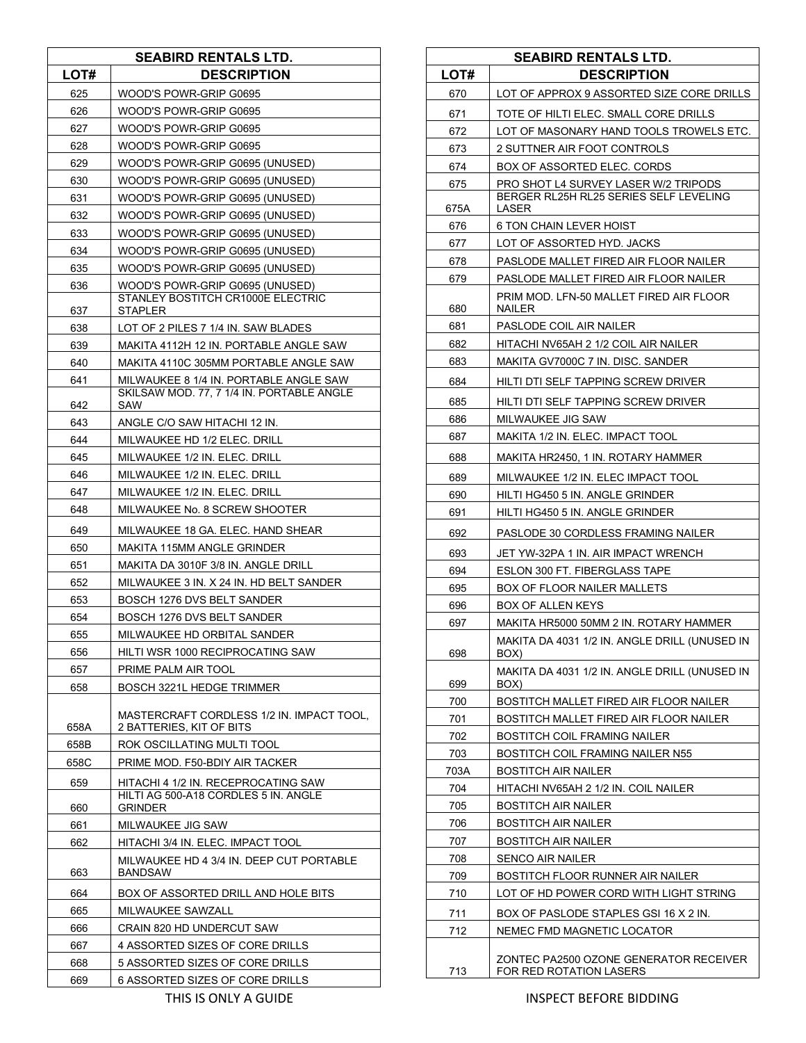|              | <b>SEABIRD RENTALS LTD.</b>                                                            |
|--------------|----------------------------------------------------------------------------------------|
| LOT#         | <b>DESCRIPTION</b>                                                                     |
| 625          | WOOD'S POWR-GRIP G0695                                                                 |
| 626          | WOOD'S POWR-GRIP G0695                                                                 |
| 627          | WOOD'S POWR-GRIP G0695                                                                 |
| 628          | WOOD'S POWR-GRIP G0695                                                                 |
| 629          | WOOD'S POWR-GRIP G0695 (UNUSED)                                                        |
| 630          | WOOD'S POWR-GRIP G0695 (UNUSED)                                                        |
| 631          | WOOD'S POWR-GRIP G0695 (UNUSED)                                                        |
| 632          | WOOD'S POWR-GRIP G0695 (UNUSED)                                                        |
| 633          | WOOD'S POWR-GRIP G0695 (UNUSED)                                                        |
| 634          | WOOD'S POWR-GRIP G0695 (UNUSED)                                                        |
| 635          | WOOD'S POWR-GRIP G0695 (UNUSED)                                                        |
| 636          | WOOD'S POWR-GRIP G0695 (UNUSED)                                                        |
| 637          | STANLEY BOSTITCH CR1000E ELECTRIC<br>STAPLER                                           |
| 638          | LOT OF 2 PILES 7 1/4 IN. SAW BLADES                                                    |
| 639          | MAKITA 4112H 12 IN. PORTABLE ANGLE SAW                                                 |
| 640          | MAKITA 4110C 305MM PORTABLE ANGLE SAW                                                  |
| 641          | MILWAUKEE 8 1/4 IN. PORTABLE ANGLE SAW                                                 |
|              | SKILSAW MOD. 77, 7 1/4 IN. PORTABLE ANGLE                                              |
| 642          | SAW                                                                                    |
| 643          | ANGLE C/O SAW HITACHI 12 IN.                                                           |
| 644          | MILWAUKEE HD 1/2 ELEC. DRILL                                                           |
| 645          | MILWAUKEE 1/2 IN. ELEC. DRILL                                                          |
| 646          | MILWAUKEE 1/2 IN. ELEC. DRILL                                                          |
| 647<br>648   | MILWAUKEE 1/2 IN. ELEC. DRILL<br>MILWAUKEE No. 8 SCREW SHOOTER                         |
|              |                                                                                        |
| 649          | MILWAUKEE 18 GA. ELEC. HAND SHEAR                                                      |
| 650          | MAKITA 115MM ANGLE GRINDER                                                             |
| 651<br>652   | MAKITA DA 3010F 3/8 IN. ANGLE DRILL<br>MILWAUKEE 3 IN. X 24 IN. HD BELT SANDER         |
| 653          | BOSCH 1276 DVS BELT SANDER                                                             |
| 654          | <b>BOSCH 1276 DVS BELT SANDER</b>                                                      |
| 655          | MILWAUKEE HD ORBITAL SANDER                                                            |
| 656          | HILTI WSR 1000 RECIPROCATING SAW                                                       |
| 657          | PRIME PALM AIR TOOL                                                                    |
| 658          | BOSCH 3221L HEDGE TRIMMER                                                              |
|              | MASTERCRAFT CORDLESS 1/2 IN. IMPACT TOOL,                                              |
| 658A         | 2 BATTERIES, KIT OF BITS                                                               |
| 658B<br>658C | ROK OSCILLATING MULTI TOOL<br>PRIME MOD. F50-BDIY AIR TACKER                           |
|              |                                                                                        |
| 659<br>660   | HITACHI 4 1/2 IN. RECEPROCATING SAW<br>HILTI AG 500-A18 CORDLES 5 IN. ANGLE<br>GRINDER |
| 661          | MILWAUKEE JIG SAW                                                                      |
| 662          | HITACHI 3/4 IN. ELEC. IMPACT TOOL                                                      |
| 663          | MILWAUKEE HD 4 3/4 IN. DEEP CUT PORTABLE<br>BANDSAW                                    |
| 664          | BOX OF ASSORTED DRILL AND HOLE BITS                                                    |
| 665          | MILWAUKEE SAWZALL                                                                      |
| 666          | CRAIN 820 HD UNDERCUT SAW                                                              |
| 667          | 4 ASSORTED SIZES OF CORE DRILLS                                                        |
| 668          | 5 ASSORTED SIZES OF CORE DRILLS                                                        |
| 669          | 6 ASSORTED SIZES OF CORE DRILLS                                                        |

|             | <b>SEABIRD RENTALS LTD.</b>                                       |
|-------------|-------------------------------------------------------------------|
| LOT#        | <b>DESCRIPTION</b>                                                |
| 670         | LOT OF APPROX 9 ASSORTED SIZE CORE DRILLS                         |
| 671         | TOTE OF HILTI ELEC. SMALL CORE DRILLS                             |
| 672         | LOT OF MASONARY HAND TOOLS TROWELS ETC.                           |
| 673         | 2 SUTTNER AIR FOOT CONTROLS                                       |
| 674         | BOX OF ASSORTED ELEC. CORDS                                       |
| 675         | PRO SHOT L4 SURVEY LASER W/2 TRIPODS                              |
|             | BERGER RL25H RL25 SERIES SELF LEVELING                            |
| 675A<br>676 | LASER<br><b>6 TON CHAIN LEVER HOIST</b>                           |
| 677         | LOT OF ASSORTED HYD. JACKS                                        |
| 678         | PASLODE MALLET FIRED AIR FLOOR NAILER                             |
| 679         | PASLODE MALLET FIRED AIR FLOOR NAILER                             |
| 680         | PRIM MOD. LFN-50 MALLET FIRED AIR FLOOR<br>NAILER                 |
| 681         | PASLODE COIL AIR NAILER                                           |
| 682         | HITACHI NV65AH 2 1/2 COIL AIR NAILER                              |
| 683         | MAKITA GV7000C 7 IN. DISC. SANDER                                 |
|             | HILTI DTI SELF TAPPING SCREW DRIVER                               |
| 684         |                                                                   |
| 685         | HILTI DTI SELF TAPPING SCREW DRIVER                               |
| 686         | MILWAUKEE JIG SAW                                                 |
| 687         | MAKITA 1/2 IN. ELEC. IMPACT TOOL                                  |
| 688         | MAKITA HR2450, 1 IN. ROTARY HAMMER                                |
| 689         | MILWAUKEE 1/2 IN. ELEC IMPACT TOOL                                |
| 690         | HILTI HG450 5 IN. ANGLE GRINDER                                   |
| 691         | HILTI HG450 5 IN. ANGLE GRINDER                                   |
| 692         | PASLODE 30 CORDLESS FRAMING NAILER                                |
| 693         | JET YW-32PA 1 IN. AIR IMPACT WRENCH                               |
| 694         | ESLON 300 FT. FIBERGLASS TAPE                                     |
| 695         | BOX OF FLOOR NAILER MALLETS                                       |
| 696         | BOX OF ALLEN KEYS                                                 |
| 697         | MAKITA HR5000 50MM 2 IN. ROTARY HAMMER                            |
| 698         | MAKITA DA 4031 1/2 IN. ANGLE DRILL (UNUSED IN<br>BOX)             |
| 699         | MAKITA DA 4031 1/2 IN. ANGLE DRILL (UNUSED IN<br>BOX)             |
| 700         | BOSTITCH MALLET FIRED AIR FLOOR NAILER                            |
| 701         | BOSTITCH MALLET FIRED AIR FLOOR NAILER                            |
| 702         | BOSTITCH COIL FRAMING NAILER                                      |
| 703         | <b>BOSTITCH COIL FRAMING NAILER N55</b>                           |
| 703A        | <b>BOSTITCH AIR NAILER</b>                                        |
| 704         | HITACHI NV65AH 2 1/2 IN. COIL NAILER                              |
| 705         | <b>BOSTITCH AIR NAILER</b>                                        |
| 706         | <b>BOSTITCH AIR NAILER</b>                                        |
| 707         | <b>BOSTITCH AIR NAILER</b>                                        |
| 708         | <b>SENCO AIR NAILER</b>                                           |
| 709         | BOSTITCH FLOOR RUNNER AIR NAILER                                  |
| 710         | LOT OF HD POWER CORD WITH LIGHT STRING                            |
| 711         | BOX OF PASLODE STAPLES GSI 16 X 2 IN.                             |
| 712         | NEMEC FMD MAGNETIC LOCATOR                                        |
| 713         | ZONTEC PA2500 OZONE GENERATOR RECEIVER<br>FOR RED ROTATION LASERS |

Г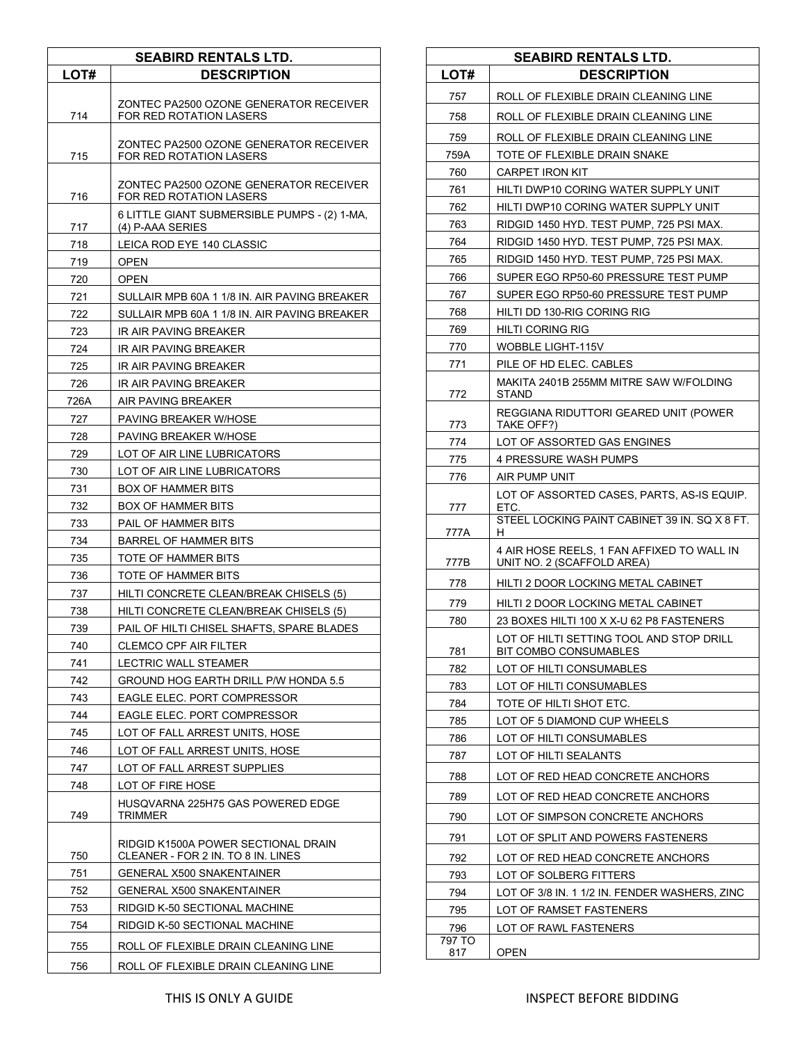| <b>SEABIRD RENTALS LTD.</b> |                                                                           |
|-----------------------------|---------------------------------------------------------------------------|
| LOT#                        | <b>DESCRIPTION</b>                                                        |
| 714                         | ZONTEC PA2500 OZONE GENERATOR RECEIVER<br>FOR RED ROTATION LASERS         |
| 715                         | ZONTEC PA2500 OZONE GENERATOR RECEIVER<br>FOR RED ROTATION LASERS         |
| 716                         | ZONTEC PA2500 OZONE GENERATOR RECEIVER<br>FOR RED ROTATION LASERS         |
| 717                         | 6 LITTLE GIANT SUBMERSIBLE PUMPS - (2) 1-MA,<br>(4) P-AAA SERIES          |
| 718                         | LEICA ROD EYE 140 CLASSIC                                                 |
| 719                         | <b>OPEN</b>                                                               |
| 720                         | <b>OPEN</b>                                                               |
| 721                         | SULLAIR MPB 60A 1 1/8 IN. AIR PAVING BREAKER                              |
| 722                         | SULLAIR MPB 60A 1 1/8 IN. AIR PAVING BREAKER                              |
| 723                         | IR AIR PAVING BREAKER                                                     |
| 724                         | IR AIR PAVING BREAKER                                                     |
| 725                         | IR AIR PAVING BREAKER                                                     |
| 726                         | IR AIR PAVING BREAKER                                                     |
| 726A                        | AIR PAVING BREAKER                                                        |
| 727                         | PAVING BREAKER W/HOSE                                                     |
| 728                         | <b>PAVING BREAKER W/HOSE</b>                                              |
| 729                         | LOT OF AIR LINE LUBRICATORS                                               |
| 730                         | LOT OF AIR LINE LUBRICATORS                                               |
| 731                         | <b>BOX OF HAMMER BITS</b>                                                 |
| 732                         | <b>BOX OF HAMMER BITS</b>                                                 |
| 733                         | PAIL OF HAMMER BITS                                                       |
| 734                         | <b>BARREL OF HAMMER BITS</b>                                              |
| 735                         | TOTE OF HAMMER BITS                                                       |
| 736                         | TOTE OF HAMMER BITS                                                       |
| 737                         | HILTI CONCRETE CLEAN/BREAK CHISELS (5)                                    |
| 738                         | HILTI CONCRETE CLEAN/BREAK CHISELS (5)                                    |
| 739                         | PAIL OF HILTI CHISEL SHAFTS, SPARE BLADES                                 |
| 740                         | CLEMCO CPF AIR FILTER                                                     |
| 741                         | <b>LECTRIC WALL STEAMER</b>                                               |
| 742                         | GROUND HOG EARTH DRILL P/W HONDA 5.5                                      |
| 743                         | EAGLE ELEC. PORT COMPRESSOR                                               |
| 744                         | EAGLE ELEC. PORT COMPRESSOR                                               |
| 745                         | LOT OF FALL ARREST UNITS, HOSE                                            |
| 746                         | LOT OF FALL ARREST UNITS, HOSE                                            |
| 747                         | LOT OF FALL ARREST SUPPLIES                                               |
| 748                         | LOT OF FIRE HOSE                                                          |
| 749                         | HUSQVARNA 225H75 GAS POWERED EDGE<br>TRIMMER                              |
| 750                         | RIDGID K1500A POWER SECTIONAL DRAIN<br>CLEANER - FOR 2 IN. TO 8 IN. LINES |
| 751                         | <b>GENERAL X500 SNAKENTAINER</b>                                          |
| 752                         | <b>GENERAL X500 SNAKENTAINER</b>                                          |
| 753                         | RIDGID K-50 SECTIONAL MACHINE                                             |
| 754                         | RIDGID K-50 SECTIONAL MACHINE                                             |
| 755                         | ROLL OF FLEXIBLE DRAIN CLEANING LINE                                      |
| 756                         | ROLL OF FLEXIBLE DRAIN CLEANING LINE                                      |

| <b>SEABIRD RENTALS LTD.</b> |                                                                                                     |
|-----------------------------|-----------------------------------------------------------------------------------------------------|
| LOT#                        | <b>DESCRIPTION</b>                                                                                  |
| 757                         | ROLL OF FLEXIBLE DRAIN CLEANING LINE                                                                |
| 758                         | ROLL OF FLEXIBLE DRAIN CLEANING LINE                                                                |
| 759                         | ROLL OF FLEXIBLE DRAIN CLEANING LINE                                                                |
| 759A                        | TOTE OF FLEXIBLE DRAIN SNAKE                                                                        |
| 760                         | CARPET IRON KIT                                                                                     |
| 761                         | HILTI DWP10 CORING WATER SUPPLY UNIT                                                                |
| 762                         | HILTI DWP10 CORING WATER SUPPLY UNIT                                                                |
| 763                         | RIDGID 1450 HYD. TEST PUMP, 725 PSI MAX.                                                            |
| 764                         | RIDGID 1450 HYD. TEST PUMP, 725 PSI MAX.                                                            |
| 765                         | RIDGID 1450 HYD. TEST PUMP, 725 PSI MAX.                                                            |
| 766                         | SUPER EGO RP50-60 PRESSURE TEST PUMP                                                                |
| 767                         | SUPER EGO RP50-60 PRESSURE TEST PUMP                                                                |
| 768                         | HILTI DD 130-RIG CORING RIG                                                                         |
| 769<br>770                  | HILTI CORING RIG                                                                                    |
| 771                         | WOBBLE LIGHT-115V<br>PILE OF HD ELEC. CABLES                                                        |
|                             | MAKITA 2401B 255MM MITRE SAW W/FOLDING                                                              |
| 772                         | STAND                                                                                               |
| 773                         | REGGIANA RIDUTTORI GEARED UNIT (POWER<br>TAKE OFF?)                                                 |
| 774                         | LOT OF ASSORTED GAS ENGINES                                                                         |
| 775                         | 4 PRESSURE WASH PUMPS                                                                               |
| 776                         | AIR PUMP UNIT                                                                                       |
| 777                         | LOT OF ASSORTED CASES, PARTS, AS-IS EQUIP.<br>ETC.<br>STEEL LOCKING PAINT CABINET 39 IN, SQ X 8 FT. |
| 777A                        | H                                                                                                   |
| 777B                        | 4 AIR HOSE REELS, 1 FAN AFFIXED TO WALL IN<br>UNIT NO. 2 (SCAFFOLD AREA)                            |
| 778                         | HILTI 2 DOOR LOCKING METAL CABINET                                                                  |
| 779                         | HILTI 2 DOOR LOCKING METAL CABINET                                                                  |
| 780                         | 23 BOXES HILTI 100 X X-U 62 P8 FASTENERS                                                            |
| 781                         | LOT OF HILTI SETTING TOOL AND STOP DRILL<br>BIT COMBO CONSUMABLES                                   |
| 782                         | LOT OF HILTI CONSUMABLES                                                                            |
| 783                         | LOT OF HILTI CONSUMABLES                                                                            |
| 784                         | TOTE OF HILTI SHOT ETC.                                                                             |
| 785                         | LOT OF 5 DIAMOND CUP WHEELS                                                                         |
| 786                         | LOT OF HILTI CONSUMABLES                                                                            |
| 787                         | LOT OF HILTI SEALANTS                                                                               |
| 788                         | LOT OF RED HEAD CONCRETE ANCHORS                                                                    |
| 789                         | LOT OF RED HEAD CONCRETE ANCHORS                                                                    |
| 790                         | LOT OF SIMPSON CONCRETE ANCHORS                                                                     |
| 791                         | LOT OF SPLIT AND POWERS FASTENERS                                                                   |
| 792                         | LOT OF RED HEAD CONCRETE ANCHORS                                                                    |
| 793                         | LOT OF SOLBERG FITTERS                                                                              |
| 794                         | LOT OF 3/8 IN. 1 1/2 IN. FENDER WASHERS, ZINC                                                       |
| 795                         | LOT OF RAMSET FASTENERS                                                                             |
| 796                         | LOT OF RAWL FASTENERS                                                                               |
| 797 TO<br>817               | OPEN                                                                                                |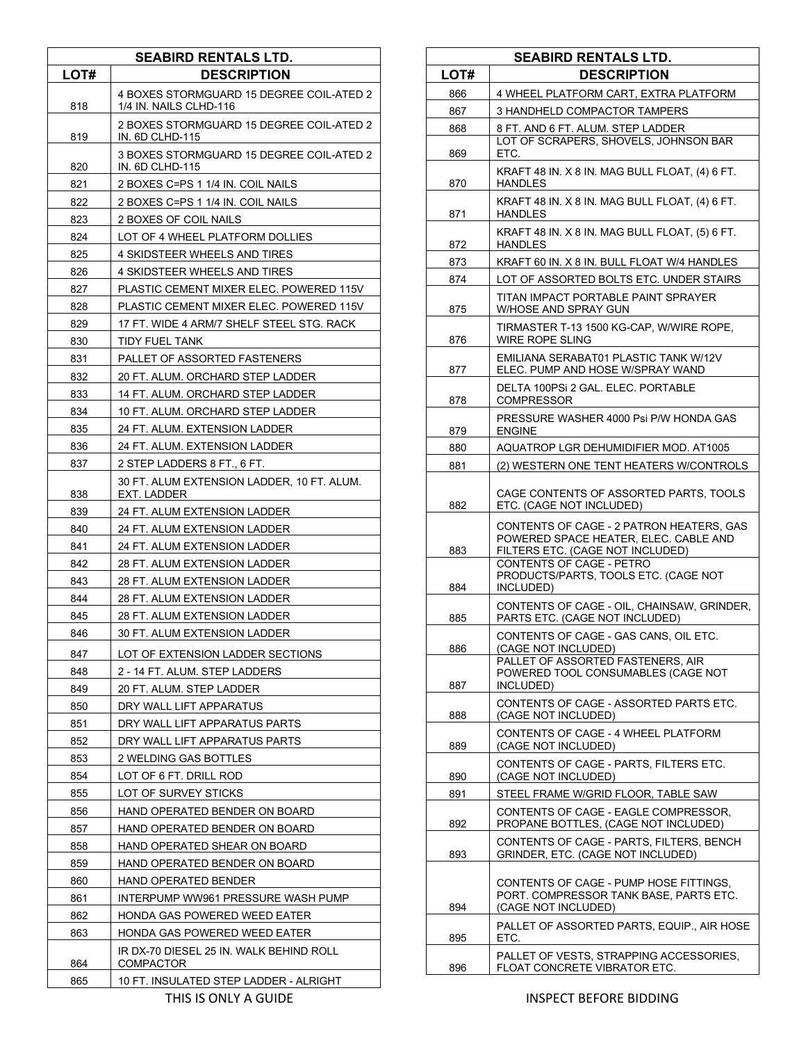| <b>SEABIRD RENTALS LTD.</b> |                                                                    |
|-----------------------------|--------------------------------------------------------------------|
| LOT#                        | <b>DESCRIPTION</b>                                                 |
| 818                         | 4 BOXES STORMGUARD 15 DEGREE COIL-ATED 2<br>1/4 IN. NAILS CLHD-116 |
| 819                         | 2 BOXES STORMGUARD 15 DEGREE COIL-ATED 2<br>IN. 6D CLHD-115        |
| 820                         | 3 BOXES STORMGUARD 15 DEGREE COIL-ATED 2<br><b>IN. 6D CLHD-115</b> |
| 821                         | 2 BOXES C=PS 1 1/4 IN. COIL NAILS                                  |
| 822                         | 2 BOXES C=PS 1 1/4 IN. COIL NAILS                                  |
| 823                         | 2 BOXES OF COIL NAILS                                              |
| 824                         | LOT OF 4 WHEEL PLATFORM DOLLIES                                    |
| 825                         | 4 SKIDSTEER WHEELS AND TIRES                                       |
| 826                         | 4 SKIDSTEER WHEELS AND TIRES                                       |
| 827                         | PLASTIC CEMENT MIXER ELEC. POWERED 115V                            |
| 828                         | PLASTIC CEMENT MIXER ELEC. POWERED 115V                            |
| 829                         | 17 FT. WIDE 4 ARM/7 SHELF STEEL STG. RACK                          |
|                             |                                                                    |
| 830                         | <b>TIDY FUEL TANK</b>                                              |
| 831                         | PALLET OF ASSORTED FASTENERS                                       |
| 832                         | 20 FT. ALUM. ORCHARD STEP LADDER                                   |
| 833                         | 14 FT. ALUM. ORCHARD STEP LADDER                                   |
| 834                         | 10 FT. ALUM. ORCHARD STEP LADDER                                   |
| 835                         | 24 FT. ALUM. EXTENSION LADDER                                      |
| 836                         | 24 FT. ALUM. EXTENSION LADDER                                      |
| 837                         | 2 STEP LADDERS 8 FT., 6 FT.                                        |
| 838                         | 30 FT. ALUM EXTENSION LADDER, 10 FT. ALUM.<br>EXT. LADDER          |
| 839                         | 24 FT. ALUM EXTENSION LADDER                                       |
| 840                         | 24 FT. ALUM EXTENSION LADDER                                       |
| 841                         | 24 FT. ALUM EXTENSION LADDER                                       |
| 842                         | 28 FT. ALUM EXTENSION LADDER                                       |
| 843                         | 28 FT. ALUM EXTENSION LADDER                                       |
| 844                         | 28 FT. ALUM EXTENSION LADDER                                       |
| 845                         | 28 FT. ALUM EXTENSION LADDER                                       |
| 846                         | 30 FT. ALUM EXTENSION LADDER                                       |
| 847                         | LOT OF EXTENSION LADDER SECTIONS                                   |
| 848                         | 2 - 14 FT. ALUM. STEP LADDERS                                      |
| 849                         | 20 FT. ALUM. STEP LADDER                                           |
| 850                         | DRY WALL LIFT APPARATUS                                            |
| 851                         | DRY WALL LIFT APPARATUS PARTS                                      |
| 852                         | DRY WALL LIFT APPARATUS PARTS                                      |
| 853                         | 2 WELDING GAS BOTTLES                                              |
| 854                         | LOT OF 6 FT. DRILL ROD                                             |
| 855                         | LOT OF SURVEY STICKS                                               |
| 856                         | HAND OPERATED BENDER ON BOARD                                      |
| 857                         | HAND OPERATED BENDER ON BOARD                                      |
| 858                         | HAND OPERATED SHEAR ON BOARD                                       |
| 859                         | HAND OPERATED BENDER ON BOARD                                      |
| 860                         | HAND OPERATED BENDER                                               |
| 861                         | INTERPUMP WW961 PRESSURE WASH PUMP                                 |
| 862                         | HONDA GAS POWERED WEED EATER                                       |
| 863                         | HONDA GAS POWERED WEED EATER                                       |
| 864                         | IR DX-70 DIESEL 25 IN. WALK BEHIND ROLL<br><b>COMPACTOR</b>        |
| 865                         | 10 FT. INSULATED STEP LADDER - ALRIGHT                             |

| <b>SEABIRD RENTALS LTD.</b> |                                                                                                                       |
|-----------------------------|-----------------------------------------------------------------------------------------------------------------------|
| LOT#                        | <b>DESCRIPTION</b>                                                                                                    |
| 866                         | 4 WHEEL PLATFORM CART, EXTRA PLATFORM                                                                                 |
| 867                         | 3 HANDHELD COMPACTOR TAMPERS                                                                                          |
|                             |                                                                                                                       |
| 868                         | 8 FT. AND 6 FT. ALUM. STEP LADDER<br>LOT OF SCRAPERS, SHOVELS, JOHNSON BAR                                            |
| 869                         | ETC.                                                                                                                  |
| 870                         | KRAFT 48 IN. X 8 IN. MAG BULL FLOAT, (4) 6 FT.<br>HANDLES                                                             |
| 871                         | KRAFT 48 IN. X 8 IN. MAG BULL FLOAT, (4) 6 FT.<br>HANDLES                                                             |
| 872                         | KRAFT 48 IN. X 8 IN. MAG BULL FLOAT, (5) 6 FT.<br><b>HANDLES</b>                                                      |
| 873                         | KRAFT 60 IN. X 8 IN. BULL FLOAT W/4 HANDLES                                                                           |
| 874                         | LOT OF ASSORTED BOLTS ETC. UNDER STAIRS                                                                               |
| 875                         | TITAN IMPACT PORTABLE PAINT SPRAYER<br>W/HOSE AND SPRAY GUN                                                           |
| 876                         | TIRMASTER T-13 1500 KG-CAP, W/WIRE ROPE.<br>WIRE ROPE SLING                                                           |
| 877                         | EMILIANA SERABAT01 PLASTIC TANK W/12V<br>ELEC. PUMP AND HOSE W/SPRAY WAND                                             |
| 878                         | DELTA 100PSi 2 GAL. ELEC. PORTABLE<br><b>COMPRESSOR</b>                                                               |
| 879                         | PRESSURE WASHER 4000 Psi P/W HONDA GAS<br><b>ENGINE</b>                                                               |
| 880                         | AQUATROP LGR DEHUMIDIFIER MOD. AT1005                                                                                 |
| 881                         | (2) WESTERN ONE TENT HEATERS W/CONTROLS                                                                               |
| 882                         | CAGE CONTENTS OF ASSORTED PARTS, TOOLS<br>ETC. (CAGE NOT INCLUDED)                                                    |
| 883                         | CONTENTS OF CAGE - 2 PATRON HEATERS, GAS<br>POWERED SPACE HEATER, ELEC. CABLE AND<br>FILTERS ETC. (CAGE NOT INCLUDED) |
| 884                         | <b>CONTENTS OF CAGE - PETRO</b><br>PRODUCTS/PARTS, TOOLS ETC. (CAGE NOT<br>INCLUDED)                                  |
| 885                         | CONTENTS OF CAGE - OIL, CHAINSAW, GRINDER,<br>PARTS ETC. (CAGE NOT INCLUDED)                                          |
| 886                         | CONTENTS OF CAGE - GAS CANS, OIL ETC.<br>(CAGE NOT INCLUDED)                                                          |
| 887                         | PALLET OF ASSORTED FASTENERS. AIR<br>POWERED TOOL CONSUMABLES (CAGE NOT<br>INCLUDED)                                  |
| 888                         | CONTENTS OF CAGE - ASSORTED PARTS ETC.<br>(CAGE NOT INCLUDED)                                                         |
| 889                         | CONTENTS OF CAGE - 4 WHEEL PLATFORM<br>(CAGE NOT INCLUDED)                                                            |
| 890                         | CONTENTS OF CAGE - PARTS, FILTERS ETC.<br>(CAGE NOT INCLUDED)                                                         |
| 891                         | STEEL FRAME W/GRID FLOOR, TABLE SAW                                                                                   |
| 892                         | CONTENTS OF CAGE - EAGLE COMPRESSOR,<br>PROPANE BOTTLES, (CAGE NOT INCLUDED)                                          |
| 893                         | CONTENTS OF CAGE - PARTS, FILTERS, BENCH<br>GRINDER, ETC. (CAGE NOT INCLUDED)                                         |
| 894                         | CONTENTS OF CAGE - PUMP HOSE FITTINGS.<br>PORT. COMPRESSOR TANK BASE, PARTS ETC.<br>(CAGE NOT INCLUDED)               |
| 895                         | PALLET OF ASSORTED PARTS, EQUIP., AIR HOSE<br>ETC.                                                                    |
| 896                         | PALLET OF VESTS, STRAPPING ACCESSORIES,<br>FLOAT CONCRETE VIBRATOR ETC.                                               |

THIS IS ONLY A GUIDE **INSPECT BEFORE BIDDING**